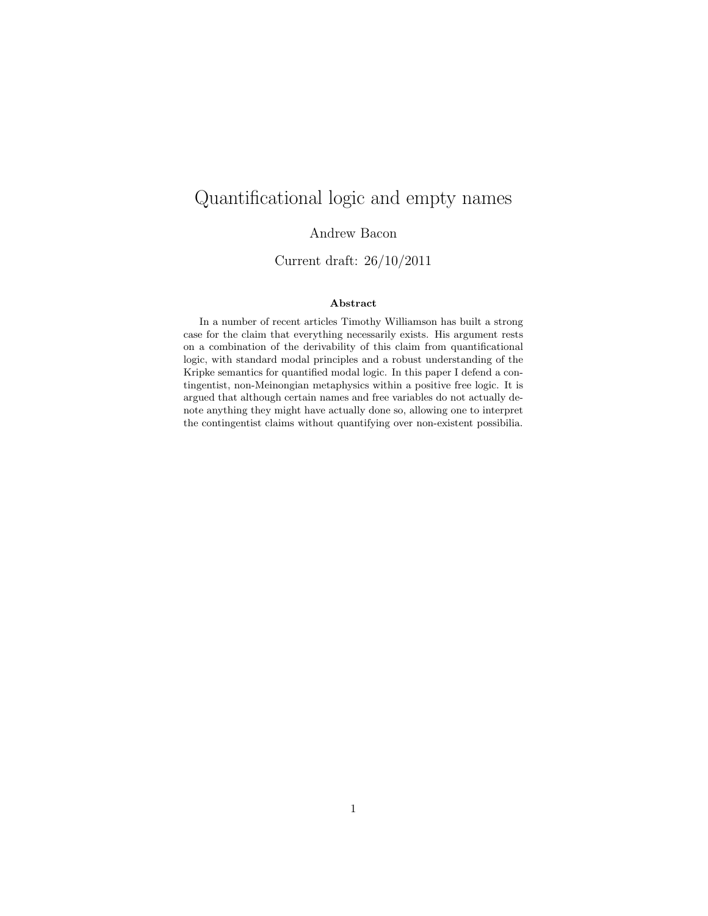# Quantificational logic and empty names

Andrew Bacon

Current draft: 26/10/2011

#### Abstract

In a number of recent articles Timothy Williamson has built a strong case for the claim that everything necessarily exists. His argument rests on a combination of the derivability of this claim from quantificational logic, with standard modal principles and a robust understanding of the Kripke semantics for quantified modal logic. In this paper I defend a contingentist, non-Meinongian metaphysics within a positive free logic. It is argued that although certain names and free variables do not actually denote anything they might have actually done so, allowing one to interpret the contingentist claims without quantifying over non-existent possibilia.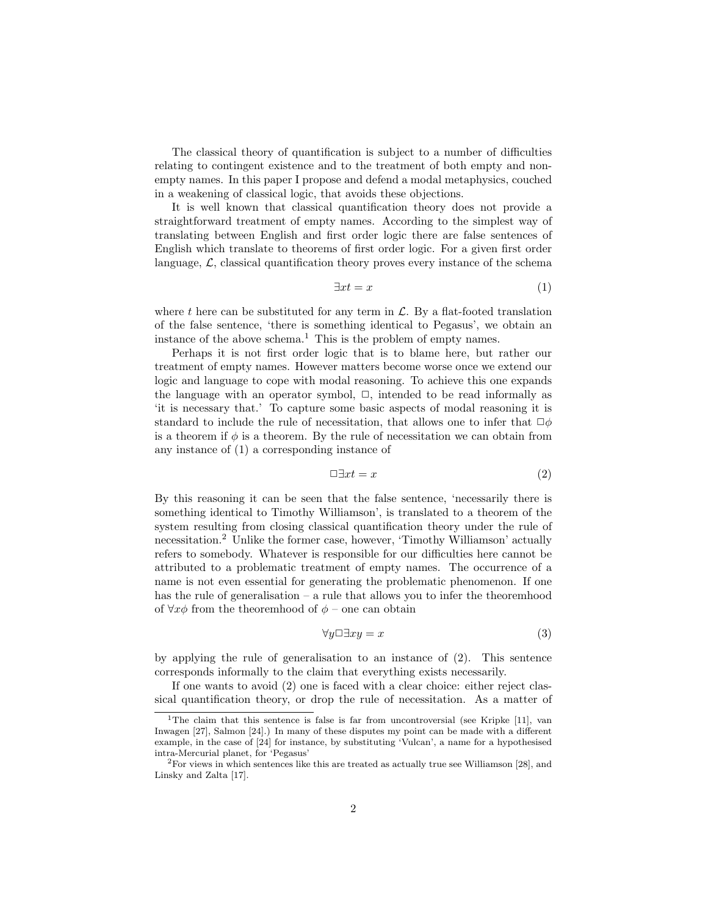The classical theory of quantification is subject to a number of difficulties relating to contingent existence and to the treatment of both empty and nonempty names. In this paper I propose and defend a modal metaphysics, couched in a weakening of classical logic, that avoids these objections.

It is well known that classical quantification theory does not provide a straightforward treatment of empty names. According to the simplest way of translating between English and first order logic there are false sentences of English which translate to theorems of first order logic. For a given first order language,  $\mathcal{L}$ , classical quantification theory proves every instance of the schema

$$
\exists x t = x \tag{1}
$$

where t here can be substituted for any term in  $\mathcal{L}$ . By a flat-footed translation of the false sentence, 'there is something identical to Pegasus', we obtain an instance of the above schema.<sup>1</sup> This is the problem of empty names.

Perhaps it is not first order logic that is to blame here, but rather our treatment of empty names. However matters become worse once we extend our logic and language to cope with modal reasoning. To achieve this one expands the language with an operator symbol,  $\Box$ , intended to be read informally as 'it is necessary that.' To capture some basic aspects of modal reasoning it is standard to include the rule of necessitation, that allows one to infer that  $\Box \phi$ is a theorem if  $\phi$  is a theorem. By the rule of necessitation we can obtain from any instance of (1) a corresponding instance of

$$
\Box \exists x t = x \tag{2}
$$

By this reasoning it can be seen that the false sentence, 'necessarily there is something identical to Timothy Williamson', is translated to a theorem of the system resulting from closing classical quantification theory under the rule of necessitation.<sup>2</sup> Unlike the former case, however, 'Timothy Williamson' actually refers to somebody. Whatever is responsible for our difficulties here cannot be attributed to a problematic treatment of empty names. The occurrence of a name is not even essential for generating the problematic phenomenon. If one has the rule of generalisation – a rule that allows you to infer the theoremhood of  $\forall x \phi$  from the theoremhood of  $\phi$  – one can obtain

$$
\forall y \Box \exists xy = x \tag{3}
$$

by applying the rule of generalisation to an instance of (2). This sentence corresponds informally to the claim that everything exists necessarily.

If one wants to avoid (2) one is faced with a clear choice: either reject classical quantification theory, or drop the rule of necessitation. As a matter of

<sup>&</sup>lt;sup>1</sup>The claim that this sentence is false is far from uncontroversial (see Kripke [11], van Inwagen [27], Salmon [24].) In many of these disputes my point can be made with a different example, in the case of [24] for instance, by substituting 'Vulcan', a name for a hypothesised intra-Mercurial planet, for 'Pegasus'

 $2$  For views in which sentences like this are treated as actually true see Williamson [28], and Linsky and Zalta [17].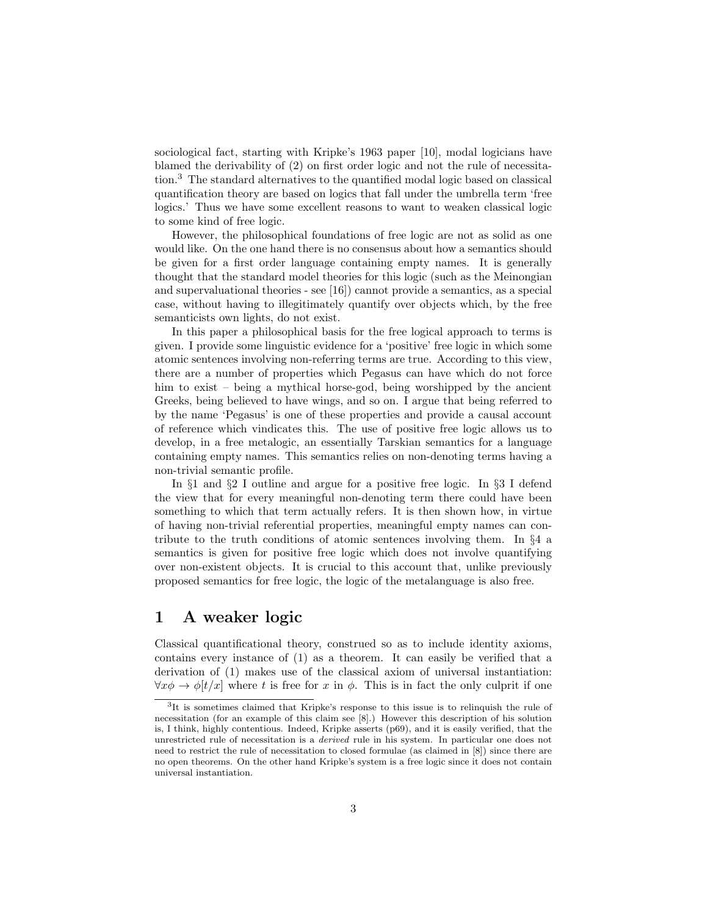sociological fact, starting with Kripke's 1963 paper [10], modal logicians have blamed the derivability of (2) on first order logic and not the rule of necessitation.<sup>3</sup> The standard alternatives to the quantified modal logic based on classical quantification theory are based on logics that fall under the umbrella term 'free logics.' Thus we have some excellent reasons to want to weaken classical logic to some kind of free logic.

However, the philosophical foundations of free logic are not as solid as one would like. On the one hand there is no consensus about how a semantics should be given for a first order language containing empty names. It is generally thought that the standard model theories for this logic (such as the Meinongian and supervaluational theories - see [16]) cannot provide a semantics, as a special case, without having to illegitimately quantify over objects which, by the free semanticists own lights, do not exist.

In this paper a philosophical basis for the free logical approach to terms is given. I provide some linguistic evidence for a 'positive' free logic in which some atomic sentences involving non-referring terms are true. According to this view, there are a number of properties which Pegasus can have which do not force him to exist – being a mythical horse-god, being worshipped by the ancient Greeks, being believed to have wings, and so on. I argue that being referred to by the name 'Pegasus' is one of these properties and provide a causal account of reference which vindicates this. The use of positive free logic allows us to develop, in a free metalogic, an essentially Tarskian semantics for a language containing empty names. This semantics relies on non-denoting terms having a non-trivial semantic profile.

In §1 and §2 I outline and argue for a positive free logic. In §3 I defend the view that for every meaningful non-denoting term there could have been something to which that term actually refers. It is then shown how, in virtue of having non-trivial referential properties, meaningful empty names can contribute to the truth conditions of atomic sentences involving them. In §4 a semantics is given for positive free logic which does not involve quantifying over non-existent objects. It is crucial to this account that, unlike previously proposed semantics for free logic, the logic of the metalanguage is also free.

# 1 A weaker logic

Classical quantificational theory, construed so as to include identity axioms, contains every instance of (1) as a theorem. It can easily be verified that a derivation of (1) makes use of the classical axiom of universal instantiation:  $\forall x \phi \rightarrow \phi[t/x]$  where t is free for x in  $\phi$ . This is in fact the only culprit if one

<sup>&</sup>lt;sup>3</sup>It is sometimes claimed that Kripke's response to this issue is to relinquish the rule of necessitation (for an example of this claim see [8].) However this description of his solution is, I think, highly contentious. Indeed, Kripke asserts (p69), and it is easily verified, that the unrestricted rule of necessitation is a derived rule in his system. In particular one does not need to restrict the rule of necessitation to closed formulae (as claimed in [8]) since there are no open theorems. On the other hand Kripke's system is a free logic since it does not contain universal instantiation.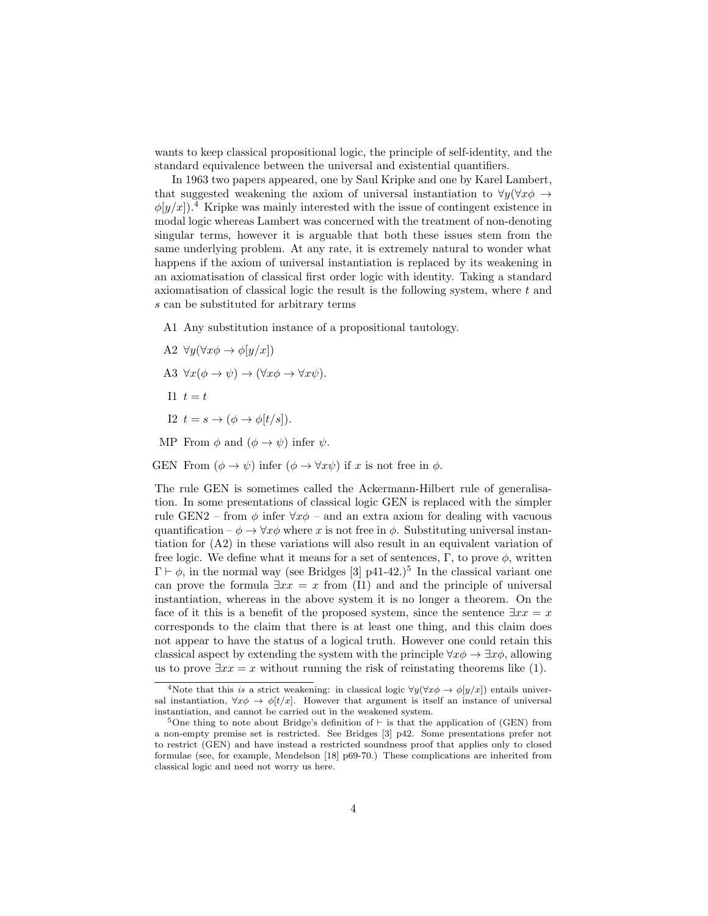wants to keep classical propositional logic, the principle of self-identity, and the standard equivalence between the universal and existential quantifiers.

In 1963 two papers appeared, one by Saul Kripke and one by Karel Lambert, that suggested weakening the axiom of universal instantiation to  $\forall y (\forall x \phi \rightarrow$  $\phi(y/x)$ .<sup>4</sup> Kripke was mainly interested with the issue of contingent existence in modal logic whereas Lambert was concerned with the treatment of non-denoting singular terms, however it is arguable that both these issues stem from the same underlying problem. At any rate, it is extremely natural to wonder what happens if the axiom of universal instantiation is replaced by its weakening in an axiomatisation of classical first order logic with identity. Taking a standard axiomatisation of classical logic the result is the following system, where t and s can be substituted for arbitrary terms

A1 Any substitution instance of a propositional tautology.

A2  $\forall y (\forall x \phi \rightarrow \phi[y/x])$ 

A3 
$$
\forall x(\phi \to \psi) \to (\forall x\phi \to \forall x\psi)
$$
.

- I1  $t=t$
- I2  $t = s \rightarrow (\phi \rightarrow \phi[t/s])$ .

MP From  $\phi$  and  $(\phi \rightarrow \psi)$  infer  $\psi$ .

GEN From  $(\phi \to \psi)$  infer  $(\phi \to \forall x \psi)$  if x is not free in  $\phi$ .

The rule GEN is sometimes called the Ackermann-Hilbert rule of generalisation. In some presentations of classical logic GEN is replaced with the simpler rule GEN2 – from  $\phi$  infer  $\forall x \phi$  – and an extra axiom for dealing with vacuous quantification –  $\phi \rightarrow \forall x \phi$  where x is not free in  $\phi$ . Substituting universal instantiation for (A2) in these variations will also result in an equivalent variation of free logic. We define what it means for a set of sentences,  $\Gamma$ , to prove  $\phi$ , written  $\Gamma \vdash \phi$ , in the normal way (see Bridges [3] p41-42.)<sup>5</sup> In the classical variant one can prove the formula  $\exists xx = x$  from (I1) and and the principle of universal instantiation, whereas in the above system it is no longer a theorem. On the face of it this is a benefit of the proposed system, since the sentence  $\exists xx = x$ corresponds to the claim that there is at least one thing, and this claim does not appear to have the status of a logical truth. However one could retain this classical aspect by extending the system with the principle  $\forall x \phi \rightarrow \exists x \phi$ , allowing us to prove  $\exists xx = x$  without running the risk of reinstating theorems like (1).

<sup>&</sup>lt;sup>4</sup>Note that this is a strict weakening: in classical logic  $\forall y (\forall x \phi \rightarrow \phi[y/x])$  entails universal instantiation,  $\forall x \phi \rightarrow \phi[t/x]$ . However that argument is itself an instance of universal instantiation, and cannot be carried out in the weakened system.

<sup>&</sup>lt;sup>5</sup>One thing to note about Bridge's definition of  $\vdash$  is that the application of (GEN) from a non-empty premise set is restricted. See Bridges [3] p42. Some presentations prefer not to restrict (GEN) and have instead a restricted soundness proof that applies only to closed formulae (see, for example, Mendelson [18] p69-70.) These complications are inherited from classical logic and need not worry us here.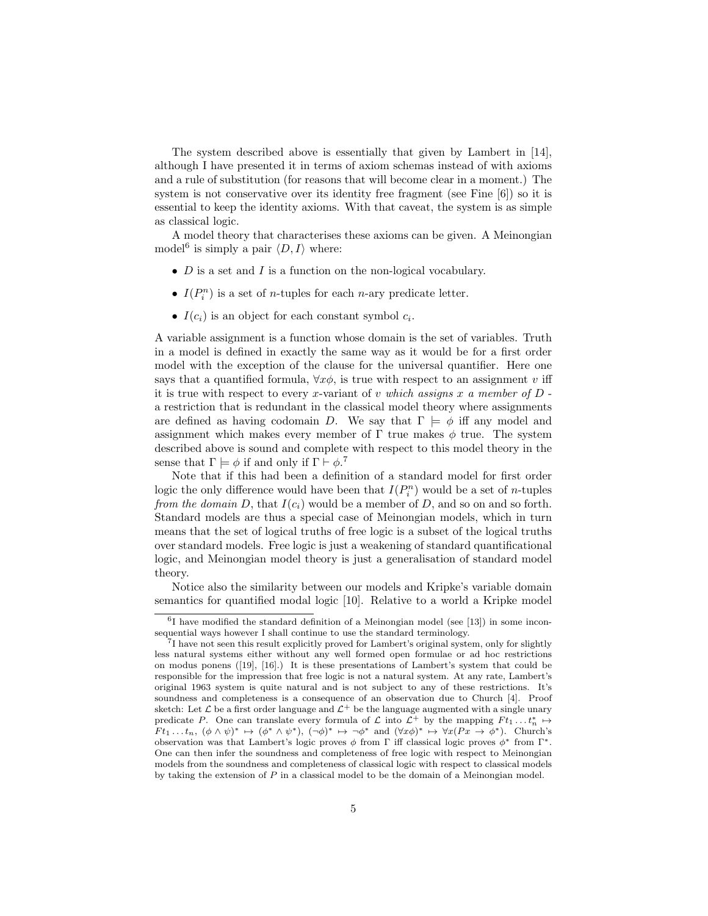The system described above is essentially that given by Lambert in [14], although I have presented it in terms of axiom schemas instead of with axioms and a rule of substitution (for reasons that will become clear in a moment.) The system is not conservative over its identity free fragment (see Fine [6]) so it is essential to keep the identity axioms. With that caveat, the system is as simple as classical logic.

A model theory that characterises these axioms can be given. A Meinongian model<sup>6</sup> is simply a pair  $\langle D, I \rangle$  where:

- $D$  is a set and  $I$  is a function on the non-logical vocabulary.
- $I(P_i^n)$  is a set of *n*-tuples for each *n*-ary predicate letter.
- $I(c_i)$  is an object for each constant symbol  $c_i$ .

A variable assignment is a function whose domain is the set of variables. Truth in a model is defined in exactly the same way as it would be for a first order model with the exception of the clause for the universal quantifier. Here one says that a quantified formula,  $\forall x \phi$ , is true with respect to an assignment v iff it is true with respect to every x-variant of v which assigns x a member of  $D$ . a restriction that is redundant in the classical model theory where assignments are defined as having codomain D. We say that  $\Gamma \models \phi$  iff any model and assignment which makes every member of  $\Gamma$  true makes  $\phi$  true. The system described above is sound and complete with respect to this model theory in the sense that  $\Gamma \models \phi$  if and only if  $\Gamma \vdash \phi$ <sup>7</sup>.

Note that if this had been a definition of a standard model for first order logic the only difference would have been that  $I(P_i^n)$  would be a set of *n*-tuples from the domain D, that  $I(c_i)$  would be a member of D, and so on and so forth. Standard models are thus a special case of Meinongian models, which in turn means that the set of logical truths of free logic is a subset of the logical truths over standard models. Free logic is just a weakening of standard quantificational logic, and Meinongian model theory is just a generalisation of standard model theory.

Notice also the similarity between our models and Kripke's variable domain semantics for quantified modal logic [10]. Relative to a world a Kripke model

<sup>&</sup>lt;sup>6</sup>I have modified the standard definition of a Meinongian model (see [13]) in some inconsequential ways however I shall continue to use the standard terminology.

<sup>7</sup> I have not seen this result explicitly proved for Lambert's original system, only for slightly less natural systems either without any well formed open formulae or ad hoc restrictions on modus ponens ([19], [16].) It is these presentations of Lambert's system that could be responsible for the impression that free logic is not a natural system. At any rate, Lambert's original 1963 system is quite natural and is not subject to any of these restrictions. It's soundness and completeness is a consequence of an observation due to Church [4]. Proof sketch: Let  $\mathcal L$  be a first order language and  $\mathcal L^+$  be the language augmented with a single unary predicate P. One can translate every formula of  $\mathcal L$  into  $\mathcal L^+$  by the mapping  $Ft_1 \dots t_n^* \mapsto$  $F t_1 \dots t_n$ ,  $(\phi \wedge \psi)^* \mapsto (\phi^* \wedge \psi^*)$ ,  $(\neg \phi)^* \mapsto \neg \phi^*$  and  $(\forall x \phi)^* \mapsto \forall x (Px \rightarrow \phi^*)$ . Church's observation was that Lambert's logic proves  $\phi$  from  $\Gamma$  iff classical logic proves  $\phi^*$  from  $\Gamma^*$ . One can then infer the soundness and completeness of free logic with respect to Meinongian models from the soundness and completeness of classical logic with respect to classical models by taking the extension of  $P$  in a classical model to be the domain of a Meinongian model.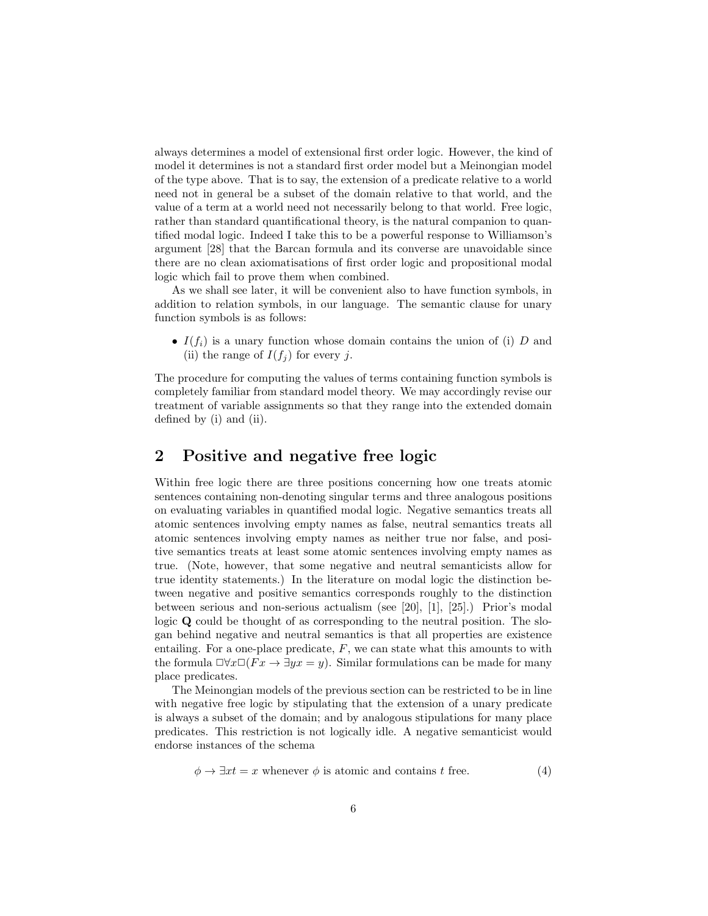always determines a model of extensional first order logic. However, the kind of model it determines is not a standard first order model but a Meinongian model of the type above. That is to say, the extension of a predicate relative to a world need not in general be a subset of the domain relative to that world, and the value of a term at a world need not necessarily belong to that world. Free logic, rather than standard quantificational theory, is the natural companion to quantified modal logic. Indeed I take this to be a powerful response to Williamson's argument [28] that the Barcan formula and its converse are unavoidable since there are no clean axiomatisations of first order logic and propositional modal logic which fail to prove them when combined.

As we shall see later, it will be convenient also to have function symbols, in addition to relation symbols, in our language. The semantic clause for unary function symbols is as follows:

•  $I(f_i)$  is a unary function whose domain contains the union of (i) D and (ii) the range of  $I(f_i)$  for every j.

The procedure for computing the values of terms containing function symbols is completely familiar from standard model theory. We may accordingly revise our treatment of variable assignments so that they range into the extended domain defined by (i) and (ii).

### 2 Positive and negative free logic

Within free logic there are three positions concerning how one treats atomic sentences containing non-denoting singular terms and three analogous positions on evaluating variables in quantified modal logic. Negative semantics treats all atomic sentences involving empty names as false, neutral semantics treats all atomic sentences involving empty names as neither true nor false, and positive semantics treats at least some atomic sentences involving empty names as true. (Note, however, that some negative and neutral semanticists allow for true identity statements.) In the literature on modal logic the distinction between negative and positive semantics corresponds roughly to the distinction between serious and non-serious actualism (see [20], [1], [25].) Prior's modal logic Q could be thought of as corresponding to the neutral position. The slogan behind negative and neutral semantics is that all properties are existence entailing. For a one-place predicate,  $F$ , we can state what this amounts to with the formula  $\Box \forall x \Box (Fx \rightarrow \exists yx = y)$ . Similar formulations can be made for many place predicates.

The Meinongian models of the previous section can be restricted to be in line with negative free logic by stipulating that the extension of a unary predicate is always a subset of the domain; and by analogous stipulations for many place predicates. This restriction is not logically idle. A negative semanticist would endorse instances of the schema

$$
\phi \to \exists x t = x \text{ whenever } \phi \text{ is atomic and contains } t \text{ free.}
$$
\n(4)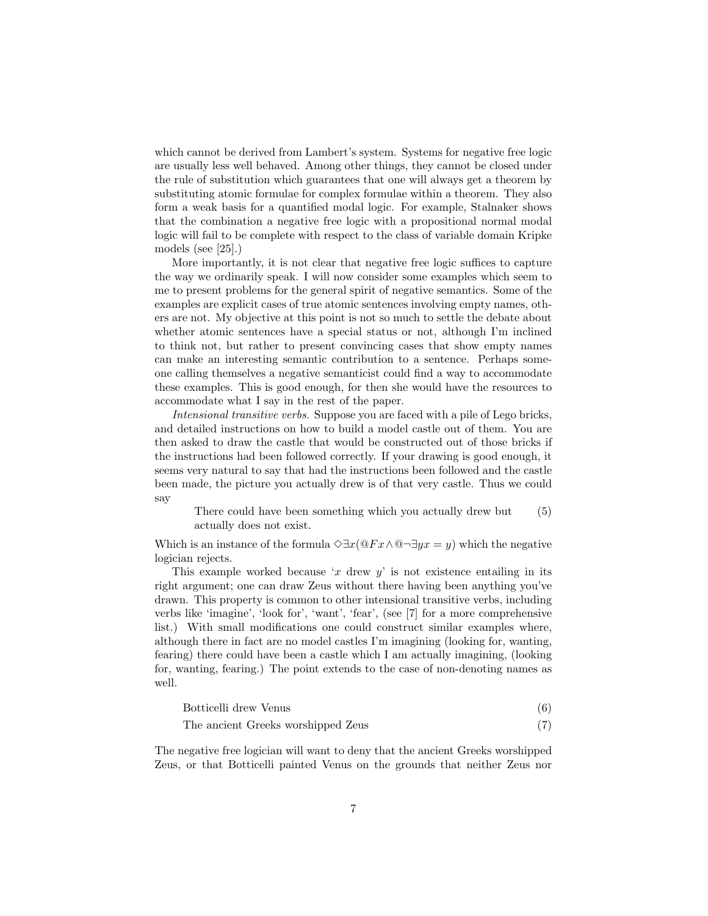which cannot be derived from Lambert's system. Systems for negative free logic are usually less well behaved. Among other things, they cannot be closed under the rule of substitution which guarantees that one will always get a theorem by substituting atomic formulae for complex formulae within a theorem. They also form a weak basis for a quantified modal logic. For example, Stalnaker shows that the combination a negative free logic with a propositional normal modal logic will fail to be complete with respect to the class of variable domain Kripke models (see [25].)

More importantly, it is not clear that negative free logic suffices to capture the way we ordinarily speak. I will now consider some examples which seem to me to present problems for the general spirit of negative semantics. Some of the examples are explicit cases of true atomic sentences involving empty names, others are not. My objective at this point is not so much to settle the debate about whether atomic sentences have a special status or not, although I'm inclined to think not, but rather to present convincing cases that show empty names can make an interesting semantic contribution to a sentence. Perhaps someone calling themselves a negative semanticist could find a way to accommodate these examples. This is good enough, for then she would have the resources to accommodate what I say in the rest of the paper.

Intensional transitive verbs. Suppose you are faced with a pile of Lego bricks, and detailed instructions on how to build a model castle out of them. You are then asked to draw the castle that would be constructed out of those bricks if the instructions had been followed correctly. If your drawing is good enough, it seems very natural to say that had the instructions been followed and the castle been made, the picture you actually drew is of that very castle. Thus we could say

There could have been something which you actually drew but actually does not exist. (5)

Which is an instance of the formula  $\Diamond \exists x (\mathbb{Q} F x \land \mathbb{Q} \neg \exists y x = y)$  which the negative logician rejects.

This example worked because 'x drew  $y'$  is not existence entailing in its right argument; one can draw Zeus without there having been anything you've drawn. This property is common to other intensional transitive verbs, including verbs like 'imagine', 'look for', 'want', 'fear', (see [7] for a more comprehensive list.) With small modifications one could construct similar examples where, although there in fact are no model castles I'm imagining (looking for, wanting, fearing) there could have been a castle which I am actually imagining, (looking for, wanting, fearing.) The point extends to the case of non-denoting names as well.

| Botticelli drew Venus              |  |
|------------------------------------|--|
| The ancient Greeks worshipped Zeus |  |

The negative free logician will want to deny that the ancient Greeks worshipped Zeus, or that Botticelli painted Venus on the grounds that neither Zeus nor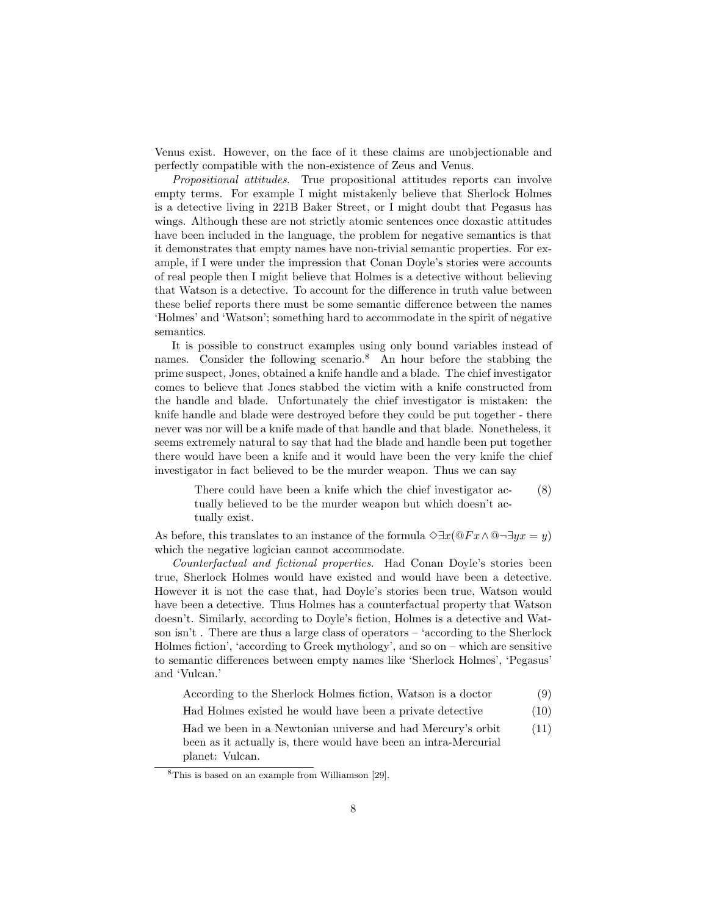Venus exist. However, on the face of it these claims are unobjectionable and perfectly compatible with the non-existence of Zeus and Venus.

Propositional attitudes. True propositional attitudes reports can involve empty terms. For example I might mistakenly believe that Sherlock Holmes is a detective living in 221B Baker Street, or I might doubt that Pegasus has wings. Although these are not strictly atomic sentences once doxastic attitudes have been included in the language, the problem for negative semantics is that it demonstrates that empty names have non-trivial semantic properties. For example, if I were under the impression that Conan Doyle's stories were accounts of real people then I might believe that Holmes is a detective without believing that Watson is a detective. To account for the difference in truth value between these belief reports there must be some semantic difference between the names 'Holmes' and 'Watson'; something hard to accommodate in the spirit of negative semantics.

It is possible to construct examples using only bound variables instead of names. Consider the following scenario.<sup>8</sup> An hour before the stabbing the prime suspect, Jones, obtained a knife handle and a blade. The chief investigator comes to believe that Jones stabbed the victim with a knife constructed from the handle and blade. Unfortunately the chief investigator is mistaken: the knife handle and blade were destroyed before they could be put together - there never was nor will be a knife made of that handle and that blade. Nonetheless, it seems extremely natural to say that had the blade and handle been put together there would have been a knife and it would have been the very knife the chief investigator in fact believed to be the murder weapon. Thus we can say

There could have been a knife which the chief investigator actually believed to be the murder weapon but which doesn't actually exist. (8)

As before, this translates to an instance of the formula  $\Diamond \exists x (\mathbb{Q} F x \land \mathbb{Q} \neg \exists y x = y)$ which the negative logician cannot accommodate.

Counterfactual and fictional properties. Had Conan Doyle's stories been true, Sherlock Holmes would have existed and would have been a detective. However it is not the case that, had Doyle's stories been true, Watson would have been a detective. Thus Holmes has a counterfactual property that Watson doesn't. Similarly, according to Doyle's fiction, Holmes is a detective and Watson isn't . There are thus a large class of operators – 'according to the Sherlock Holmes fiction', 'according to Greek mythology', and so on – which are sensitive to semantic differences between empty names like 'Sherlock Holmes', 'Pegasus' and 'Vulcan.'

| According to the Sherlock Holmes fiction, Watson is a doctor |  |  | (9) |
|--------------------------------------------------------------|--|--|-----|
|--------------------------------------------------------------|--|--|-----|

Had Holmes existed he would have been a private detective (10)

Had we been in a Newtonian universe and had Mercury's orbit been as it actually is, there would have been an intra-Mercurial planet: Vulcan. (11)

<sup>8</sup>This is based on an example from Williamson [29].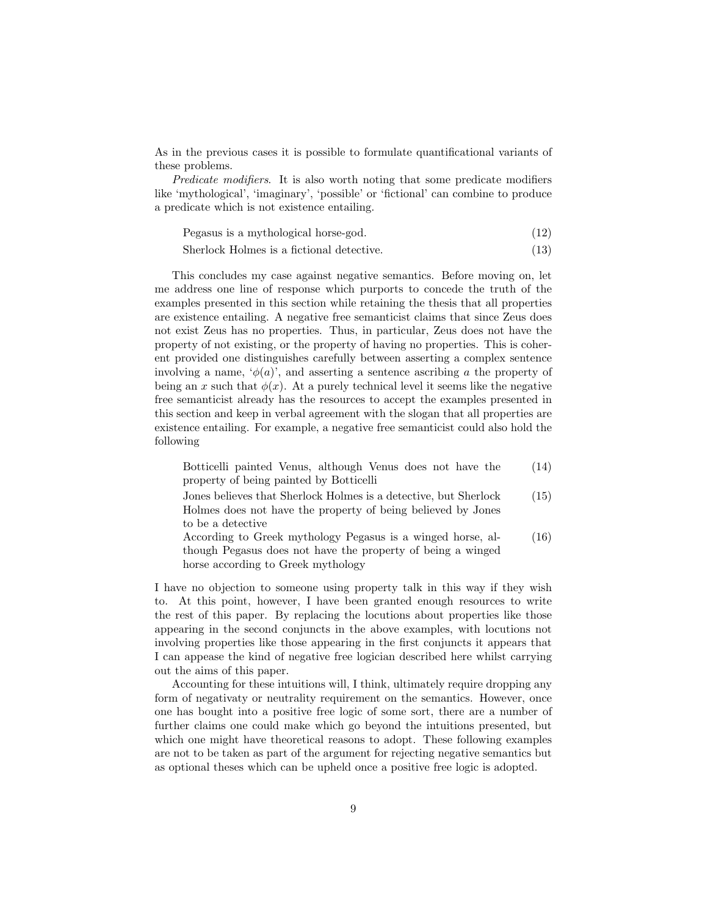As in the previous cases it is possible to formulate quantificational variants of these problems.

Predicate modifiers. It is also worth noting that some predicate modifiers like 'mythological', 'imaginary', 'possible' or 'fictional' can combine to produce a predicate which is not existence entailing.

| Pegasus is a mythological horse-god. | (12) |  |
|--------------------------------------|------|--|
|--------------------------------------|------|--|

Sherlock Holmes is a fictional detective. (13)

This concludes my case against negative semantics. Before moving on, let me address one line of response which purports to concede the truth of the examples presented in this section while retaining the thesis that all properties are existence entailing. A negative free semanticist claims that since Zeus does not exist Zeus has no properties. Thus, in particular, Zeus does not have the property of not existing, or the property of having no properties. This is coherent provided one distinguishes carefully between asserting a complex sentence involving a name,  $\phi(a)$ , and asserting a sentence ascribing a the property of being an x such that  $\phi(x)$ . At a purely technical level it seems like the negative free semanticist already has the resources to accept the examples presented in this section and keep in verbal agreement with the slogan that all properties are existence entailing. For example, a negative free semanticist could also hold the following

| Botticelli painted Venus, although Venus does not have the       | (14) |
|------------------------------------------------------------------|------|
| property of being painted by Botticelli                          |      |
| Jones believes that Sherlock Holmes is a detective, but Sherlock | (15) |
| Holmes does not have the property of being believed by Jones     |      |
| to be a detective                                                |      |
| According to Greek mythology Pegasus is a winged horse, al-      | (16) |

though Pegasus does not have the property of being a winged horse according to Greek mythology

I have no objection to someone using property talk in this way if they wish to. At this point, however, I have been granted enough resources to write the rest of this paper. By replacing the locutions about properties like those appearing in the second conjuncts in the above examples, with locutions not involving properties like those appearing in the first conjuncts it appears that I can appease the kind of negative free logician described here whilst carrying out the aims of this paper.

Accounting for these intuitions will, I think, ultimately require dropping any form of negativaty or neutrality requirement on the semantics. However, once one has bought into a positive free logic of some sort, there are a number of further claims one could make which go beyond the intuitions presented, but which one might have theoretical reasons to adopt. These following examples are not to be taken as part of the argument for rejecting negative semantics but as optional theses which can be upheld once a positive free logic is adopted.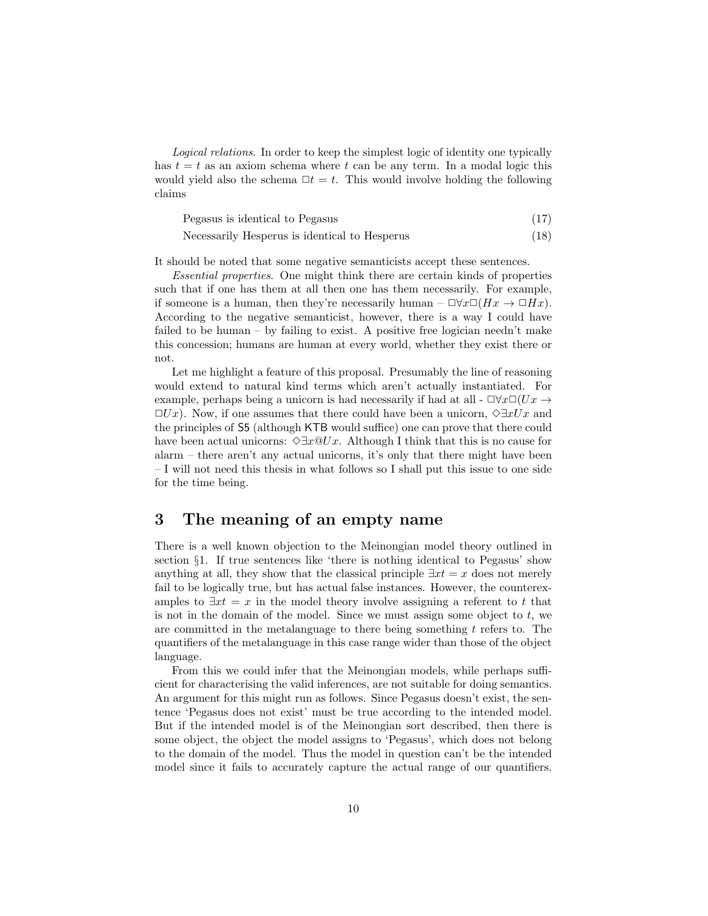Logical relations. In order to keep the simplest logic of identity one typically has  $t = t$  as an axiom schema where t can be any term. In a modal logic this would yield also the schema  $\Box t = t$ . This would involve holding the following claims

| Pegasus is identical to Pegasus |  |
|---------------------------------|--|
|---------------------------------|--|

$$
Necessarily Hesperus is identical to Hesperus
$$
\n
$$
(18)
$$

It should be noted that some negative semanticists accept these sentences.

Essential properties. One might think there are certain kinds of properties such that if one has them at all then one has them necessarily. For example, if someone is a human, then they're necessarily human –  $\Box \forall x \Box (Hx \rightarrow \Box Hx)$ . According to the negative semanticist, however, there is a way I could have failed to be human – by failing to exist. A positive free logician needn't make this concession; humans are human at every world, whether they exist there or not.

Let me highlight a feature of this proposal. Presumably the line of reasoning would extend to natural kind terms which aren't actually instantiated. For example, perhaps being a unicorn is had necessarily if had at all -  $\Box \forall x \Box (Ux \rightarrow$  $\Box Ux$ ). Now, if one assumes that there could have been a unicorn,  $\diamond \exists xUx$  and the principles of S5 (although KTB would suffice) one can prove that there could have been actual unicorns:  $\Diamond \exists x \mathbb{Q}Ux$ . Although I think that this is no cause for alarm – there aren't any actual unicorns, it's only that there might have been – I will not need this thesis in what follows so I shall put this issue to one side for the time being.

### 3 The meaning of an empty name

There is a well known objection to the Meinongian model theory outlined in section §1. If true sentences like 'there is nothing identical to Pegasus' show anything at all, they show that the classical principle  $\exists x t = x$  does not merely fail to be logically true, but has actual false instances. However, the counterexamples to  $\exists x t = x$  in the model theory involve assigning a referent to t that is not in the domain of the model. Since we must assign some object to  $t$ , we are committed in the metalanguage to there being something  $t$  refers to. The quantifiers of the metalanguage in this case range wider than those of the object language.

From this we could infer that the Meinongian models, while perhaps sufficient for characterising the valid inferences, are not suitable for doing semantics. An argument for this might run as follows. Since Pegasus doesn't exist, the sentence 'Pegasus does not exist' must be true according to the intended model. But if the intended model is of the Meinongian sort described, then there is some object, the object the model assigns to 'Pegasus', which does not belong to the domain of the model. Thus the model in question can't be the intended model since it fails to accurately capture the actual range of our quantifiers.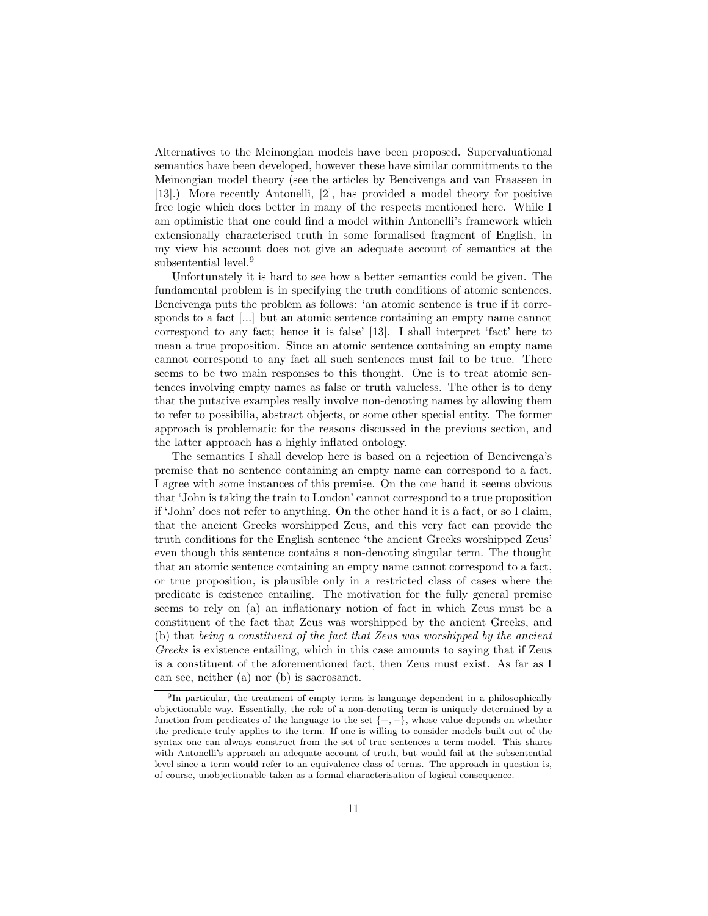Alternatives to the Meinongian models have been proposed. Supervaluational semantics have been developed, however these have similar commitments to the Meinongian model theory (see the articles by Bencivenga and van Fraassen in [13].) More recently Antonelli, [2], has provided a model theory for positive free logic which does better in many of the respects mentioned here. While I am optimistic that one could find a model within Antonelli's framework which extensionally characterised truth in some formalised fragment of English, in my view his account does not give an adequate account of semantics at the subsentential level.<sup>9</sup>

Unfortunately it is hard to see how a better semantics could be given. The fundamental problem is in specifying the truth conditions of atomic sentences. Bencivenga puts the problem as follows: 'an atomic sentence is true if it corresponds to a fact [...] but an atomic sentence containing an empty name cannot correspond to any fact; hence it is false' [13]. I shall interpret 'fact' here to mean a true proposition. Since an atomic sentence containing an empty name cannot correspond to any fact all such sentences must fail to be true. There seems to be two main responses to this thought. One is to treat atomic sentences involving empty names as false or truth valueless. The other is to deny that the putative examples really involve non-denoting names by allowing them to refer to possibilia, abstract objects, or some other special entity. The former approach is problematic for the reasons discussed in the previous section, and the latter approach has a highly inflated ontology.

The semantics I shall develop here is based on a rejection of Bencivenga's premise that no sentence containing an empty name can correspond to a fact. I agree with some instances of this premise. On the one hand it seems obvious that 'John is taking the train to London' cannot correspond to a true proposition if 'John' does not refer to anything. On the other hand it is a fact, or so I claim, that the ancient Greeks worshipped Zeus, and this very fact can provide the truth conditions for the English sentence 'the ancient Greeks worshipped Zeus' even though this sentence contains a non-denoting singular term. The thought that an atomic sentence containing an empty name cannot correspond to a fact, or true proposition, is plausible only in a restricted class of cases where the predicate is existence entailing. The motivation for the fully general premise seems to rely on (a) an inflationary notion of fact in which Zeus must be a constituent of the fact that Zeus was worshipped by the ancient Greeks, and (b) that being a constituent of the fact that Zeus was worshipped by the ancient Greeks is existence entailing, which in this case amounts to saying that if Zeus is a constituent of the aforementioned fact, then Zeus must exist. As far as I can see, neither (a) nor (b) is sacrosanct.

<sup>&</sup>lt;sup>9</sup>In particular, the treatment of empty terms is language dependent in a philosophically objectionable way. Essentially, the role of a non-denoting term is uniquely determined by a function from predicates of the language to the set  $\{+,-\}$ , whose value depends on whether the predicate truly applies to the term. If one is willing to consider models built out of the syntax one can always construct from the set of true sentences a term model. This shares with Antonelli's approach an adequate account of truth, but would fail at the subsentential level since a term would refer to an equivalence class of terms. The approach in question is, of course, unobjectionable taken as a formal characterisation of logical consequence.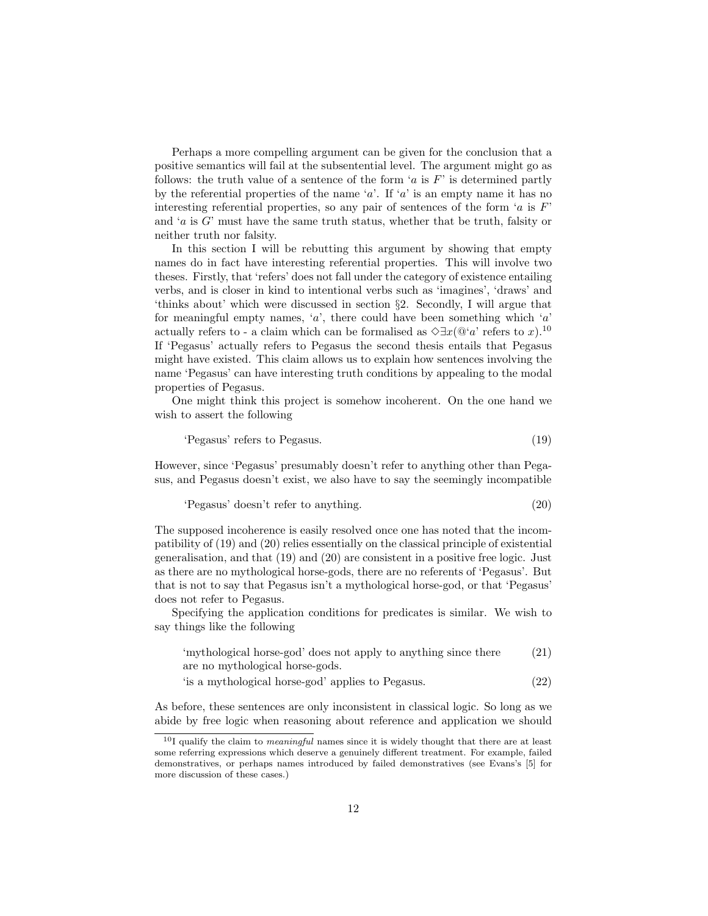Perhaps a more compelling argument can be given for the conclusion that a positive semantics will fail at the subsentential level. The argument might go as follows: the truth value of a sentence of the form 'a is  $F'$  is determined partly by the referential properties of the name 'a'. If 'a' is an empty name it has no interesting referential properties, so any pair of sentences of the form 'a is  $F'$ and ' $a$  is  $G'$  must have the same truth status, whether that be truth, falsity or neither truth nor falsity.

In this section I will be rebutting this argument by showing that empty names do in fact have interesting referential properties. This will involve two theses. Firstly, that 'refers' does not fall under the category of existence entailing verbs, and is closer in kind to intentional verbs such as 'imagines', 'draws' and 'thinks about' which were discussed in section §2. Secondly, I will argue that for meaningful empty names,  $a'$ , there could have been something which  $a'$ actually refers to - a claim which can be formalised as  $\Diamond \exists x (\mathbb{Q}^{\iota}a)$  refers to x).<sup>10</sup> If 'Pegasus' actually refers to Pegasus the second thesis entails that Pegasus might have existed. This claim allows us to explain how sentences involving the name 'Pegasus' can have interesting truth conditions by appealing to the modal properties of Pegasus.

One might think this project is somehow incoherent. On the one hand we wish to assert the following

'Pegasus' refers to Pegasus. (19)

However, since 'Pegasus' presumably doesn't refer to anything other than Pegasus, and Pegasus doesn't exist, we also have to say the seemingly incompatible

$$
"Pegasus" doesn't refer to anything. \t(20)
$$

The supposed incoherence is easily resolved once one has noted that the incompatibility of (19) and (20) relies essentially on the classical principle of existential generalisation, and that (19) and (20) are consistent in a positive free logic. Just as there are no mythological horse-gods, there are no referents of 'Pegasus'. But that is not to say that Pegasus isn't a mythological horse-god, or that 'Pegasus' does not refer to Pegasus.

Specifying the application conditions for predicates is similar. We wish to say things like the following

| 'mythological horse-god' does not apply to anything since there | (21) |
|-----------------------------------------------------------------|------|
| are no mythological horse-gods.                                 |      |

'is a mythological horse-god' applies to Pegasus. (22)

As before, these sentences are only inconsistent in classical logic. So long as we abide by free logic when reasoning about reference and application we should

 $10I$  qualify the claim to *meaningful* names since it is widely thought that there are at least some referring expressions which deserve a genuinely different treatment. For example, failed demonstratives, or perhaps names introduced by failed demonstratives (see Evans's [5] for more discussion of these cases.)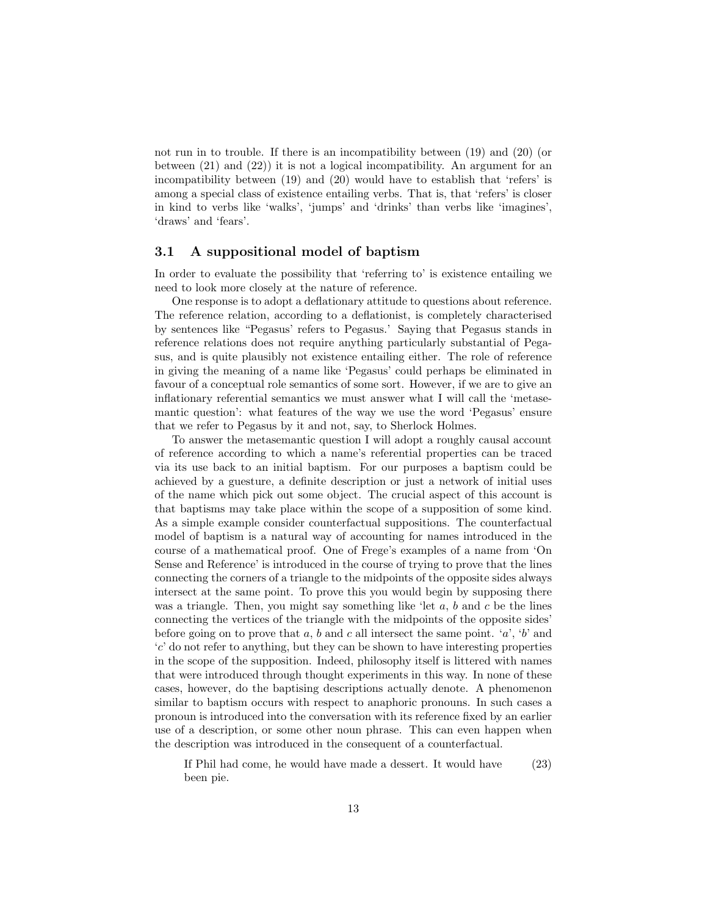not run in to trouble. If there is an incompatibility between (19) and (20) (or between (21) and (22)) it is not a logical incompatibility. An argument for an incompatibility between (19) and (20) would have to establish that 'refers' is among a special class of existence entailing verbs. That is, that 'refers' is closer in kind to verbs like 'walks', 'jumps' and 'drinks' than verbs like 'imagines', 'draws' and 'fears'.

#### 3.1 A suppositional model of baptism

In order to evaluate the possibility that 'referring to' is existence entailing we need to look more closely at the nature of reference.

One response is to adopt a deflationary attitude to questions about reference. The reference relation, according to a deflationist, is completely characterised by sentences like "Pegasus' refers to Pegasus.' Saying that Pegasus stands in reference relations does not require anything particularly substantial of Pegasus, and is quite plausibly not existence entailing either. The role of reference in giving the meaning of a name like 'Pegasus' could perhaps be eliminated in favour of a conceptual role semantics of some sort. However, if we are to give an inflationary referential semantics we must answer what I will call the 'metasemantic question': what features of the way we use the word 'Pegasus' ensure that we refer to Pegasus by it and not, say, to Sherlock Holmes.

To answer the metasemantic question I will adopt a roughly causal account of reference according to which a name's referential properties can be traced via its use back to an initial baptism. For our purposes a baptism could be achieved by a guesture, a definite description or just a network of initial uses of the name which pick out some object. The crucial aspect of this account is that baptisms may take place within the scope of a supposition of some kind. As a simple example consider counterfactual suppositions. The counterfactual model of baptism is a natural way of accounting for names introduced in the course of a mathematical proof. One of Frege's examples of a name from 'On Sense and Reference' is introduced in the course of trying to prove that the lines connecting the corners of a triangle to the midpoints of the opposite sides always intersect at the same point. To prove this you would begin by supposing there was a triangle. Then, you might say something like 'let  $a, b$  and  $c$  be the lines connecting the vertices of the triangle with the midpoints of the opposite sides' before going on to prove that a, b and c all intersect the same point. 'a', 'b' and  $c'$  do not refer to anything, but they can be shown to have interesting properties in the scope of the supposition. Indeed, philosophy itself is littered with names that were introduced through thought experiments in this way. In none of these cases, however, do the baptising descriptions actually denote. A phenomenon similar to baptism occurs with respect to anaphoric pronouns. In such cases a pronoun is introduced into the conversation with its reference fixed by an earlier use of a description, or some other noun phrase. This can even happen when the description was introduced in the consequent of a counterfactual.

If Phil had come, he would have made a dessert. It would have been pie. (23)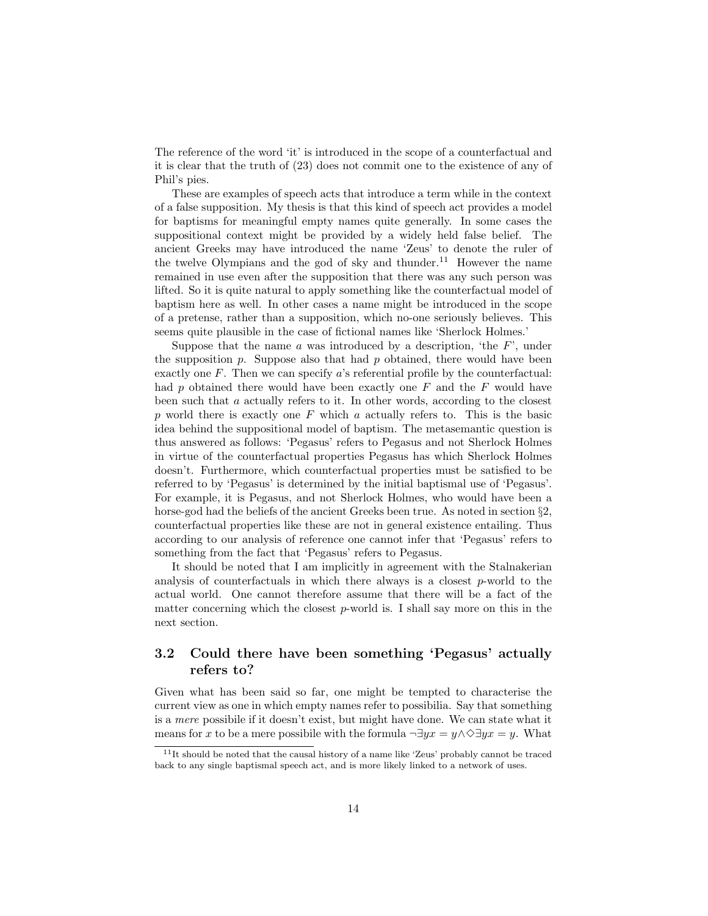The reference of the word 'it' is introduced in the scope of a counterfactual and it is clear that the truth of (23) does not commit one to the existence of any of Phil's pies.

These are examples of speech acts that introduce a term while in the context of a false supposition. My thesis is that this kind of speech act provides a model for baptisms for meaningful empty names quite generally. In some cases the suppositional context might be provided by a widely held false belief. The ancient Greeks may have introduced the name 'Zeus' to denote the ruler of the twelve Olympians and the god of sky and thunder.<sup>11</sup> However the name remained in use even after the supposition that there was any such person was lifted. So it is quite natural to apply something like the counterfactual model of baptism here as well. In other cases a name might be introduced in the scope of a pretense, rather than a supposition, which no-one seriously believes. This seems quite plausible in the case of fictional names like 'Sherlock Holmes.'

Suppose that the name  $\alpha$  was introduced by a description, 'the  $F'$ ', under the supposition p. Suppose also that had p obtained, there would have been exactly one  $F$ . Then we can specify  $a$ 's referential profile by the counterfactual: had p obtained there would have been exactly one  $F$  and the  $F$  would have been such that a actually refers to it. In other words, according to the closest p world there is exactly one  $F$  which a actually refers to. This is the basic idea behind the suppositional model of baptism. The metasemantic question is thus answered as follows: 'Pegasus' refers to Pegasus and not Sherlock Holmes in virtue of the counterfactual properties Pegasus has which Sherlock Holmes doesn't. Furthermore, which counterfactual properties must be satisfied to be referred to by 'Pegasus' is determined by the initial baptismal use of 'Pegasus'. For example, it is Pegasus, and not Sherlock Holmes, who would have been a horse-god had the beliefs of the ancient Greeks been true. As noted in section §2, counterfactual properties like these are not in general existence entailing. Thus according to our analysis of reference one cannot infer that 'Pegasus' refers to something from the fact that 'Pegasus' refers to Pegasus.

It should be noted that I am implicitly in agreement with the Stalnakerian analysis of counterfactuals in which there always is a closest  $p$ -world to the actual world. One cannot therefore assume that there will be a fact of the matter concerning which the closest  $p$ -world is. I shall say more on this in the next section.

### 3.2 Could there have been something 'Pegasus' actually refers to?

Given what has been said so far, one might be tempted to characterise the current view as one in which empty names refer to possibilia. Say that something is a mere possibile if it doesn't exist, but might have done. We can state what it means for x to be a mere possibile with the formula  $\neg \exists yx = y \land \Diamond \exists yx = y$ . What

<sup>11</sup>It should be noted that the causal history of a name like 'Zeus' probably cannot be traced back to any single baptismal speech act, and is more likely linked to a network of uses.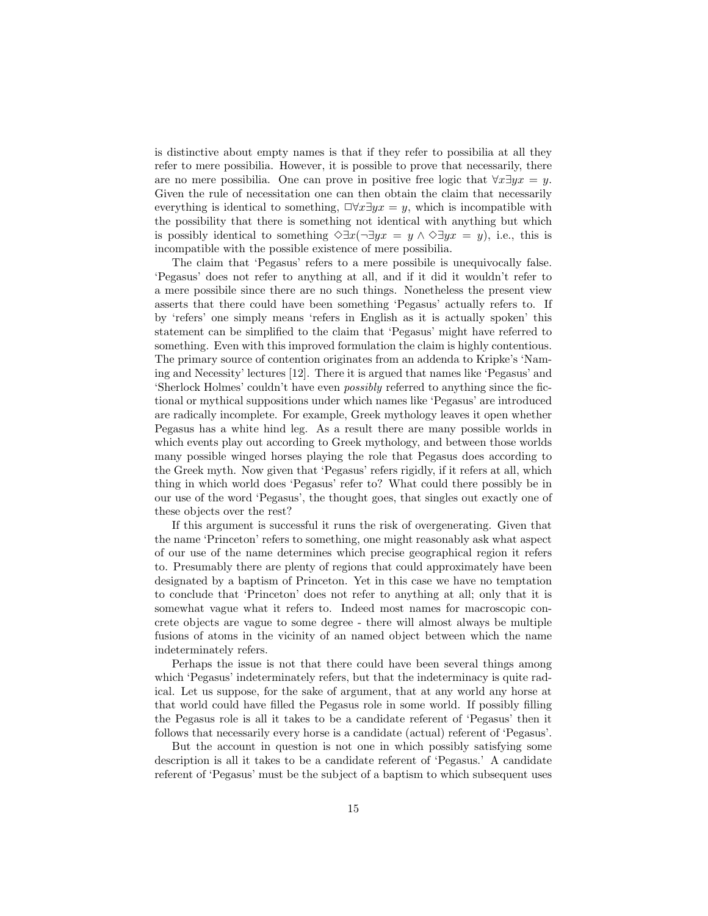is distinctive about empty names is that if they refer to possibilia at all they refer to mere possibilia. However, it is possible to prove that necessarily, there are no mere possibilia. One can prove in positive free logic that  $\forall x \exists y x = y$ . Given the rule of necessitation one can then obtain the claim that necessarily everything is identical to something,  $\Box \forall x \exists yx = y$ , which is incompatible with the possibility that there is something not identical with anything but which is possibly identical to something  $\Diamond \exists x (\neg \exists y x = y \land \Diamond \exists y x = y)$ , i.e., this is incompatible with the possible existence of mere possibilia.

The claim that 'Pegasus' refers to a mere possibile is unequivocally false. 'Pegasus' does not refer to anything at all, and if it did it wouldn't refer to a mere possibile since there are no such things. Nonetheless the present view asserts that there could have been something 'Pegasus' actually refers to. If by 'refers' one simply means 'refers in English as it is actually spoken' this statement can be simplified to the claim that 'Pegasus' might have referred to something. Even with this improved formulation the claim is highly contentious. The primary source of contention originates from an addenda to Kripke's 'Naming and Necessity' lectures [12]. There it is argued that names like 'Pegasus' and 'Sherlock Holmes' couldn't have even possibly referred to anything since the fictional or mythical suppositions under which names like 'Pegasus' are introduced are radically incomplete. For example, Greek mythology leaves it open whether Pegasus has a white hind leg. As a result there are many possible worlds in which events play out according to Greek mythology, and between those worlds many possible winged horses playing the role that Pegasus does according to the Greek myth. Now given that 'Pegasus' refers rigidly, if it refers at all, which thing in which world does 'Pegasus' refer to? What could there possibly be in our use of the word 'Pegasus', the thought goes, that singles out exactly one of these objects over the rest?

If this argument is successful it runs the risk of overgenerating. Given that the name 'Princeton' refers to something, one might reasonably ask what aspect of our use of the name determines which precise geographical region it refers to. Presumably there are plenty of regions that could approximately have been designated by a baptism of Princeton. Yet in this case we have no temptation to conclude that 'Princeton' does not refer to anything at all; only that it is somewhat vague what it refers to. Indeed most names for macroscopic concrete objects are vague to some degree - there will almost always be multiple fusions of atoms in the vicinity of an named object between which the name indeterminately refers.

Perhaps the issue is not that there could have been several things among which 'Pegasus' indeterminately refers, but that the indeterminacy is quite radical. Let us suppose, for the sake of argument, that at any world any horse at that world could have filled the Pegasus role in some world. If possibly filling the Pegasus role is all it takes to be a candidate referent of 'Pegasus' then it follows that necessarily every horse is a candidate (actual) referent of 'Pegasus'.

But the account in question is not one in which possibly satisfying some description is all it takes to be a candidate referent of 'Pegasus.' A candidate referent of 'Pegasus' must be the subject of a baptism to which subsequent uses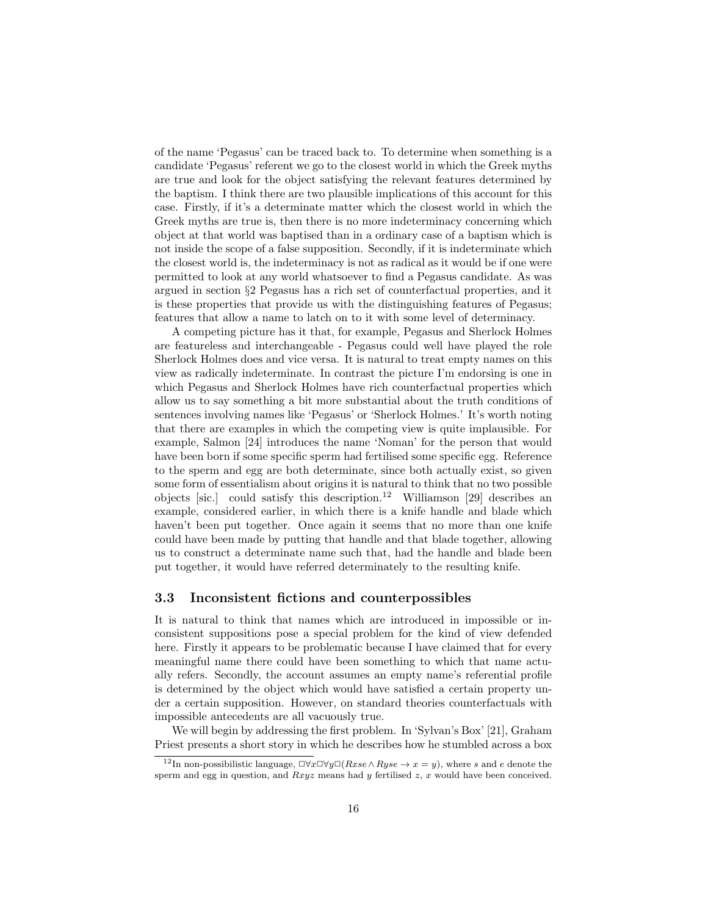of the name 'Pegasus' can be traced back to. To determine when something is a candidate 'Pegasus' referent we go to the closest world in which the Greek myths are true and look for the object satisfying the relevant features determined by the baptism. I think there are two plausible implications of this account for this case. Firstly, if it's a determinate matter which the closest world in which the Greek myths are true is, then there is no more indeterminacy concerning which object at that world was baptised than in a ordinary case of a baptism which is not inside the scope of a false supposition. Secondly, if it is indeterminate which the closest world is, the indeterminacy is not as radical as it would be if one were permitted to look at any world whatsoever to find a Pegasus candidate. As was argued in section §2 Pegasus has a rich set of counterfactual properties, and it is these properties that provide us with the distinguishing features of Pegasus; features that allow a name to latch on to it with some level of determinacy.

A competing picture has it that, for example, Pegasus and Sherlock Holmes are featureless and interchangeable - Pegasus could well have played the role Sherlock Holmes does and vice versa. It is natural to treat empty names on this view as radically indeterminate. In contrast the picture I'm endorsing is one in which Pegasus and Sherlock Holmes have rich counterfactual properties which allow us to say something a bit more substantial about the truth conditions of sentences involving names like 'Pegasus' or 'Sherlock Holmes.' It's worth noting that there are examples in which the competing view is quite implausible. For example, Salmon [24] introduces the name 'Noman' for the person that would have been born if some specific sperm had fertilised some specific egg. Reference to the sperm and egg are both determinate, since both actually exist, so given some form of essentialism about origins it is natural to think that no two possible objects [sic.] could satisfy this description.<sup>12</sup> Williamson [29] describes an example, considered earlier, in which there is a knife handle and blade which haven't been put together. Once again it seems that no more than one knife could have been made by putting that handle and that blade together, allowing us to construct a determinate name such that, had the handle and blade been put together, it would have referred determinately to the resulting knife.

#### 3.3 Inconsistent fictions and counterpossibles

It is natural to think that names which are introduced in impossible or inconsistent suppositions pose a special problem for the kind of view defended here. Firstly it appears to be problematic because I have claimed that for every meaningful name there could have been something to which that name actually refers. Secondly, the account assumes an empty name's referential profile is determined by the object which would have satisfied a certain property under a certain supposition. However, on standard theories counterfactuals with impossible antecedents are all vacuously true.

We will begin by addressing the first problem. In 'Sylvan's Box' [21], Graham Priest presents a short story in which he describes how he stumbled across a box

<sup>&</sup>lt;sup>12</sup>In non-possibilistic language,  $\Box \forall x \Box \forall y \Box (Rxse \land Ryse \rightarrow x = y)$ , where s and e denote the sperm and egg in question, and  $Rxyz$  means had y fertilised  $z$ , x would have been conceived.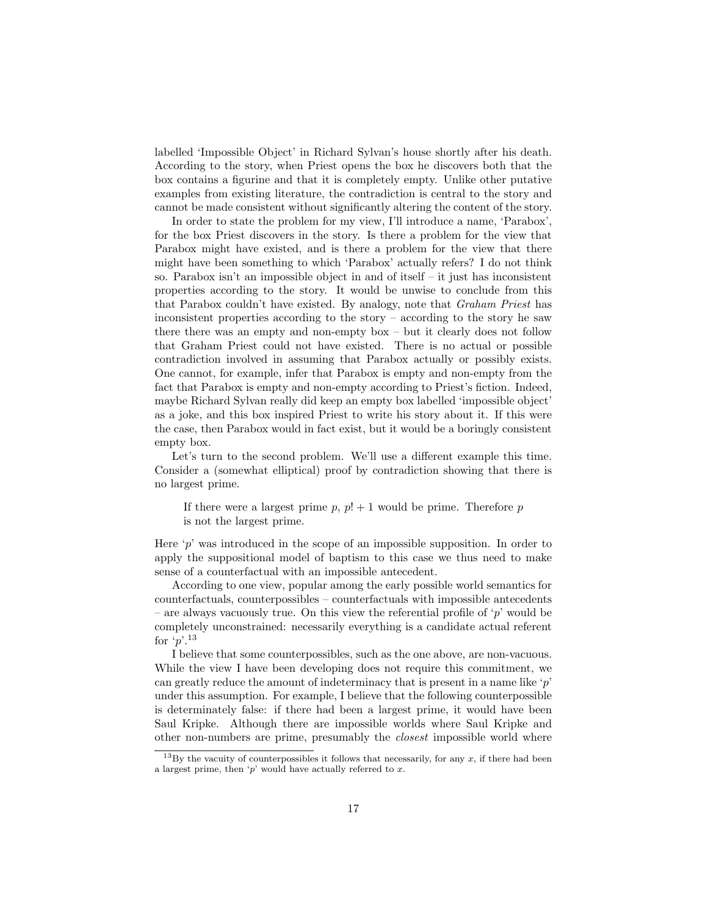labelled 'Impossible Object' in Richard Sylvan's house shortly after his death. According to the story, when Priest opens the box he discovers both that the box contains a figurine and that it is completely empty. Unlike other putative examples from existing literature, the contradiction is central to the story and cannot be made consistent without significantly altering the content of the story.

In order to state the problem for my view, I'll introduce a name, 'Parabox', for the box Priest discovers in the story. Is there a problem for the view that Parabox might have existed, and is there a problem for the view that there might have been something to which 'Parabox' actually refers? I do not think so. Parabox isn't an impossible object in and of itself  $-$  it just has inconsistent properties according to the story. It would be unwise to conclude from this that Parabox couldn't have existed. By analogy, note that Graham Priest has inconsistent properties according to the story – according to the story he saw there there was an empty and non-empty box – but it clearly does not follow that Graham Priest could not have existed. There is no actual or possible contradiction involved in assuming that Parabox actually or possibly exists. One cannot, for example, infer that Parabox is empty and non-empty from the fact that Parabox is empty and non-empty according to Priest's fiction. Indeed, maybe Richard Sylvan really did keep an empty box labelled 'impossible object' as a joke, and this box inspired Priest to write his story about it. If this were the case, then Parabox would in fact exist, but it would be a boringly consistent empty box.

Let's turn to the second problem. We'll use a different example this time. Consider a (somewhat elliptical) proof by contradiction showing that there is no largest prime.

If there were a largest prime  $p, p! + 1$  would be prime. Therefore p is not the largest prime.

Here 'p' was introduced in the scope of an impossible supposition. In order to apply the suppositional model of baptism to this case we thus need to make sense of a counterfactual with an impossible antecedent.

According to one view, popular among the early possible world semantics for counterfactuals, counterpossibles – counterfactuals with impossible antecedents – are always vacuously true. On this view the referential profile of 'p' would be completely unconstrained: necessarily everything is a candidate actual referent for  $\lq p$ .<sup>13</sup>

I believe that some counterpossibles, such as the one above, are non-vacuous. While the view I have been developing does not require this commitment, we can greatly reduce the amount of indeterminacy that is present in a name like  $\hat{p}'$ under this assumption. For example, I believe that the following counterpossible is determinately false: if there had been a largest prime, it would have been Saul Kripke. Although there are impossible worlds where Saul Kripke and other non-numbers are prime, presumably the closest impossible world where

<sup>&</sup>lt;sup>13</sup>By the vacuity of counterpossibles it follows that necessarily, for any  $x$ , if there had been a largest prime, then  $\lq p'$  would have actually referred to  $x$ .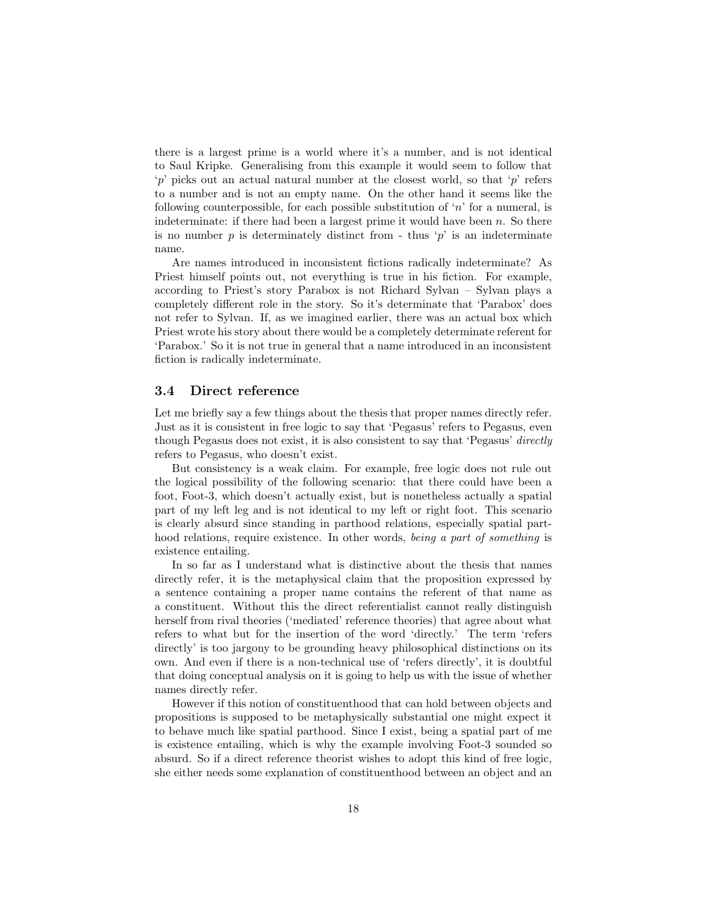there is a largest prime is a world where it's a number, and is not identical to Saul Kripke. Generalising from this example it would seem to follow that 'p' picks out an actual natural number at the closest world, so that 'p' refers to a number and is not an empty name. On the other hand it seems like the following counterpossible, for each possible substitution of 'n' for a numeral, is indeterminate: if there had been a largest prime it would have been  $n$ . So there is no number  $p$  is determinately distinct from - thus ' $p$ ' is an indeterminate name.

Are names introduced in inconsistent fictions radically indeterminate? As Priest himself points out, not everything is true in his fiction. For example, according to Priest's story Parabox is not Richard Sylvan – Sylvan plays a completely different role in the story. So it's determinate that 'Parabox' does not refer to Sylvan. If, as we imagined earlier, there was an actual box which Priest wrote his story about there would be a completely determinate referent for 'Parabox.' So it is not true in general that a name introduced in an inconsistent fiction is radically indeterminate.

#### 3.4 Direct reference

Let me briefly say a few things about the thesis that proper names directly refer. Just as it is consistent in free logic to say that 'Pegasus' refers to Pegasus, even though Pegasus does not exist, it is also consistent to say that 'Pegasus' directly refers to Pegasus, who doesn't exist.

But consistency is a weak claim. For example, free logic does not rule out the logical possibility of the following scenario: that there could have been a foot, Foot-3, which doesn't actually exist, but is nonetheless actually a spatial part of my left leg and is not identical to my left or right foot. This scenario is clearly absurd since standing in parthood relations, especially spatial parthood relations, require existence. In other words, being a part of something is existence entailing.

In so far as I understand what is distinctive about the thesis that names directly refer, it is the metaphysical claim that the proposition expressed by a sentence containing a proper name contains the referent of that name as a constituent. Without this the direct referentialist cannot really distinguish herself from rival theories ('mediated' reference theories) that agree about what refers to what but for the insertion of the word 'directly.' The term 'refers directly' is too jargony to be grounding heavy philosophical distinctions on its own. And even if there is a non-technical use of 'refers directly', it is doubtful that doing conceptual analysis on it is going to help us with the issue of whether names directly refer.

However if this notion of constituenthood that can hold between objects and propositions is supposed to be metaphysically substantial one might expect it to behave much like spatial parthood. Since I exist, being a spatial part of me is existence entailing, which is why the example involving Foot-3 sounded so absurd. So if a direct reference theorist wishes to adopt this kind of free logic, she either needs some explanation of constituenthood between an object and an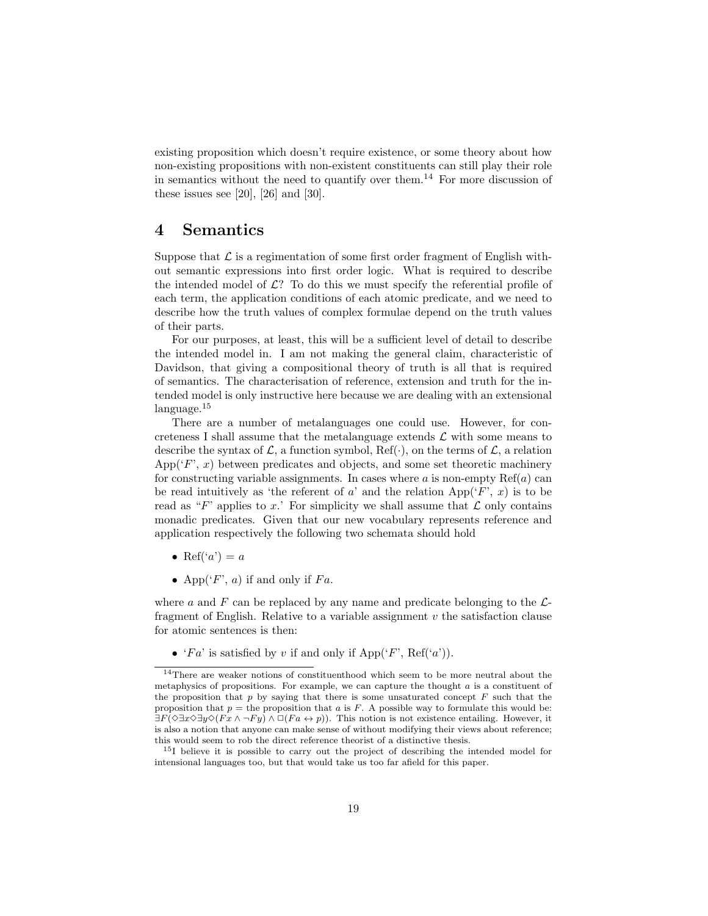existing proposition which doesn't require existence, or some theory about how non-existing propositions with non-existent constituents can still play their role in semantics without the need to quantify over them.<sup>14</sup> For more discussion of these issues see  $[20]$ ,  $[26]$  and  $[30]$ .

### 4 Semantics

Suppose that  $\mathcal L$  is a regimentation of some first order fragment of English without semantic expressions into first order logic. What is required to describe the intended model of  $\mathcal{L}$ ? To do this we must specify the referential profile of each term, the application conditions of each atomic predicate, and we need to describe how the truth values of complex formulae depend on the truth values of their parts.

For our purposes, at least, this will be a sufficient level of detail to describe the intended model in. I am not making the general claim, characteristic of Davidson, that giving a compositional theory of truth is all that is required of semantics. The characterisation of reference, extension and truth for the intended model is only instructive here because we are dealing with an extensional language.<sup>15</sup>

There are a number of metalanguages one could use. However, for concreteness I shall assume that the metalanguage extends  $\mathcal L$  with some means to describe the syntax of  $\mathcal{L}$ , a function symbol, Ref( $\cdot$ ), on the terms of  $\mathcal{L}$ , a relation  $\mathrm{App}('F', x)$  between predicates and objects, and some set theoretic machinery for constructing variable assignments. In cases where  $a$  is non-empty  $\text{Ref}(a)$  can be read intuitively as 'the referent of a' and the relation  $App('F', x)$  is to be read as "F' applies to x.' For simplicity we shall assume that  $\mathcal L$  only contains monadic predicates. Given that our new vocabulary represents reference and application respectively the following two schemata should hold

- Ref('a') = a
- App( $\mathcal{F}'$ , a) if and only if  $Fa$ .

where a and F can be replaced by any name and predicate belonging to the  $\mathcal{L}$ fragment of English. Relative to a variable assignment  $v$  the satisfaction clause for atomic sentences is then:

• 'Fa' is satisfied by v if and only if  $\text{App'}(F', \text{Ref'}(a'))$ .

<sup>14</sup>There are weaker notions of constituenthood which seem to be more neutral about the metaphysics of propositions. For example, we can capture the thought  $a$  is a constituent of the proposition that  $p$  by saying that there is some unsaturated concept  $F$  such that the proposition that  $p =$  the proposition that a is F. A possible way to formulate this would be:  $\exists F(\Diamond \exists x \Diamond \exists y \Diamond (Fx \land \neg F y) \land \Box (Fa \leftrightarrow p)).$  This notion is not existence entailing. However, it is also a notion that anyone can make sense of without modifying their views about reference; this would seem to rob the direct reference theorist of a distinctive thesis.

<sup>15</sup>I believe it is possible to carry out the project of describing the intended model for intensional languages too, but that would take us too far afield for this paper.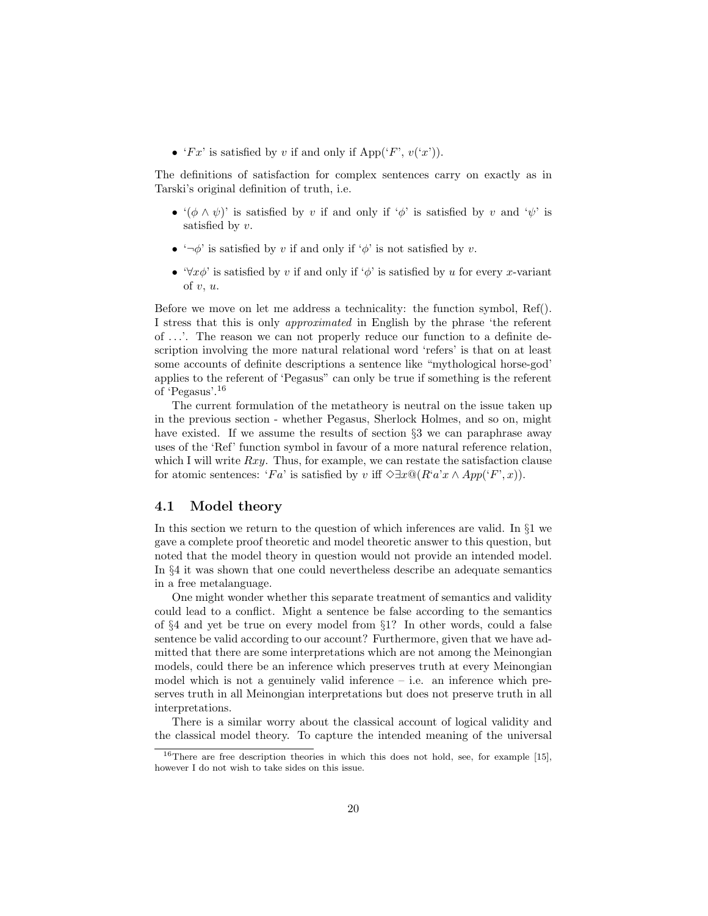• ' $Fx'$  is satisfied by v if and only if App(' $F'$ ,  $v('x')$ ).

The definitions of satisfaction for complex sentences carry on exactly as in Tarski's original definition of truth, i.e.

- $'(\phi \wedge \psi)'$  is satisfied by v if and only if ' $\phi'$  is satisfied by v and ' $\psi'$  is satisfied by  $v$ .
- $\rightarrow \neg \phi'$  is satisfied by v if and only if  $\phi'$  is not satisfied by v.
- $\forall x \phi'$  is satisfied by v if and only if  $\phi'$  is satisfied by u for every x-variant of  $v, u$ .

Before we move on let me address a technicality: the function symbol, Ref(). I stress that this is only approximated in English by the phrase 'the referent of ...'. The reason we can not properly reduce our function to a definite description involving the more natural relational word 'refers' is that on at least some accounts of definite descriptions a sentence like "mythological horse-god' applies to the referent of 'Pegasus" can only be true if something is the referent of 'Pegasus'.<sup>16</sup>

The current formulation of the metatheory is neutral on the issue taken up in the previous section - whether Pegasus, Sherlock Holmes, and so on, might have existed. If we assume the results of section §3 we can paraphrase away uses of the 'Ref' function symbol in favour of a more natural reference relation, which I will write  $Rxy$ . Thus, for example, we can restate the satisfaction clause for atomic sentences: 'Fa' is satisfied by v iff  $\Diamond \exists x \mathbb{Q}(R^t a^r x \land App('F', x))$ .

#### 4.1 Model theory

In this section we return to the question of which inferences are valid. In §1 we gave a complete proof theoretic and model theoretic answer to this question, but noted that the model theory in question would not provide an intended model. In §4 it was shown that one could nevertheless describe an adequate semantics in a free metalanguage.

One might wonder whether this separate treatment of semantics and validity could lead to a conflict. Might a sentence be false according to the semantics of §4 and yet be true on every model from §1? In other words, could a false sentence be valid according to our account? Furthermore, given that we have admitted that there are some interpretations which are not among the Meinongian models, could there be an inference which preserves truth at every Meinongian model which is not a genuinely valid inference  $-$  i.e. an inference which preserves truth in all Meinongian interpretations but does not preserve truth in all interpretations.

There is a similar worry about the classical account of logical validity and the classical model theory. To capture the intended meaning of the universal

<sup>16</sup>There are free description theories in which this does not hold, see, for example [15], however I do not wish to take sides on this issue.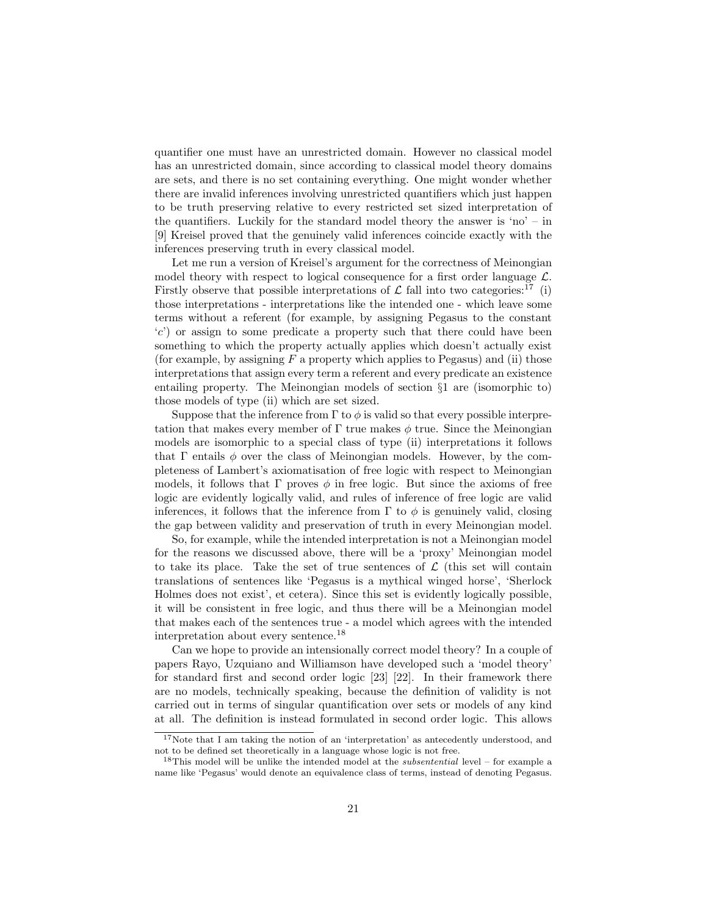quantifier one must have an unrestricted domain. However no classical model has an unrestricted domain, since according to classical model theory domains are sets, and there is no set containing everything. One might wonder whether there are invalid inferences involving unrestricted quantifiers which just happen to be truth preserving relative to every restricted set sized interpretation of the quantifiers. Luckily for the standard model theory the answer is 'no' – in [9] Kreisel proved that the genuinely valid inferences coincide exactly with the inferences preserving truth in every classical model.

Let me run a version of Kreisel's argument for the correctness of Meinongian model theory with respect to logical consequence for a first order language  $\mathcal{L}$ . Firstly observe that possible interpretations of  $\mathcal L$  fall into two categories:<sup>17</sup> (i) those interpretations - interpretations like the intended one - which leave some terms without a referent (for example, by assigning Pegasus to the constant 'c') or assign to some predicate a property such that there could have been something to which the property actually applies which doesn't actually exist (for example, by assigning  $F$  a property which applies to Pegasus) and (ii) those interpretations that assign every term a referent and every predicate an existence entailing property. The Meinongian models of section §1 are (isomorphic to) those models of type (ii) which are set sized.

Suppose that the inference from  $\Gamma$  to  $\phi$  is valid so that every possible interpretation that makes every member of  $\Gamma$  true makes  $\phi$  true. Since the Meinongian models are isomorphic to a special class of type (ii) interpretations it follows that  $\Gamma$  entails  $\phi$  over the class of Meinongian models. However, by the completeness of Lambert's axiomatisation of free logic with respect to Meinongian models, it follows that  $\Gamma$  proves  $\phi$  in free logic. But since the axioms of free logic are evidently logically valid, and rules of inference of free logic are valid inferences, it follows that the inference from  $\Gamma$  to  $\phi$  is genuinely valid, closing the gap between validity and preservation of truth in every Meinongian model.

So, for example, while the intended interpretation is not a Meinongian model for the reasons we discussed above, there will be a 'proxy' Meinongian model to take its place. Take the set of true sentences of  $\mathcal L$  (this set will contain translations of sentences like 'Pegasus is a mythical winged horse', 'Sherlock Holmes does not exist', et cetera). Since this set is evidently logically possible, it will be consistent in free logic, and thus there will be a Meinongian model that makes each of the sentences true - a model which agrees with the intended interpretation about every sentence.<sup>18</sup>

Can we hope to provide an intensionally correct model theory? In a couple of papers Rayo, Uzquiano and Williamson have developed such a 'model theory' for standard first and second order logic [23] [22]. In their framework there are no models, technically speaking, because the definition of validity is not carried out in terms of singular quantification over sets or models of any kind at all. The definition is instead formulated in second order logic. This allows

<sup>&</sup>lt;sup>17</sup>Note that I am taking the notion of an 'interpretation' as antecedently understood, and not to be defined set theoretically in a language whose logic is not free.

 $18$ This model will be unlike the intended model at the *subsentential* level – for example a name like 'Pegasus' would denote an equivalence class of terms, instead of denoting Pegasus.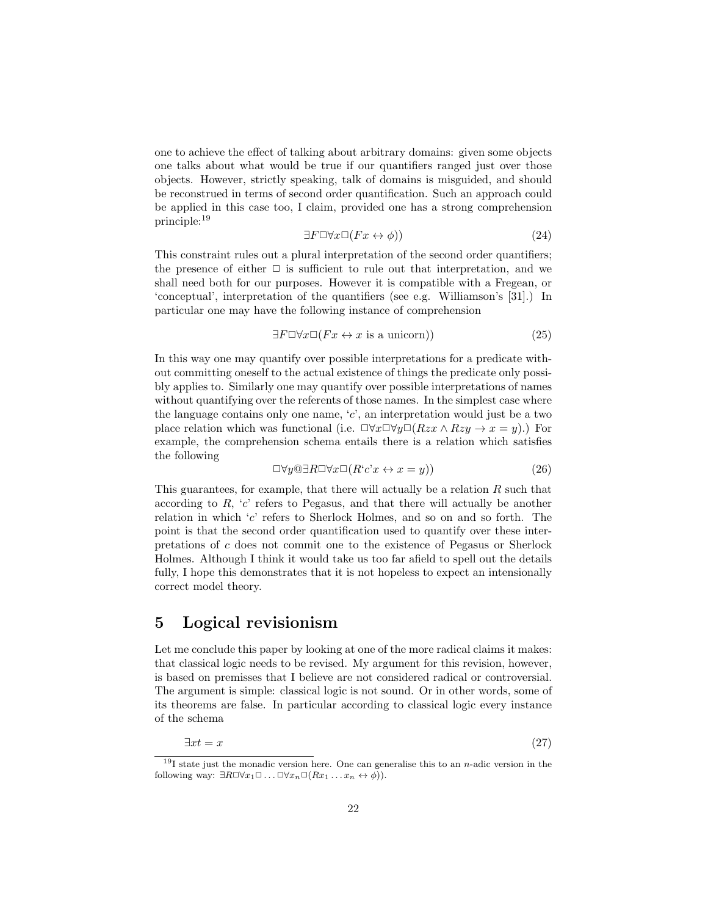one to achieve the effect of talking about arbitrary domains: given some objects one talks about what would be true if our quantifiers ranged just over those objects. However, strictly speaking, talk of domains is misguided, and should be reconstrued in terms of second order quantification. Such an approach could be applied in this case too, I claim, provided one has a strong comprehension principle:<sup>19</sup>

$$
\exists F \Box \forall x \Box (Fx \leftrightarrow \phi))\tag{24}
$$

This constraint rules out a plural interpretation of the second order quantifiers; the presence of either  $\Box$  is sufficient to rule out that interpretation, and we shall need both for our purposes. However it is compatible with a Fregean, or 'conceptual', interpretation of the quantifiers (see e.g. Williamson's [31].) In particular one may have the following instance of comprehension

$$
\exists F \Box \forall x \Box (Fx \leftrightarrow x \text{ is a unicorn})) \tag{25}
$$

In this way one may quantify over possible interpretations for a predicate without committing oneself to the actual existence of things the predicate only possibly applies to. Similarly one may quantify over possible interpretations of names without quantifying over the referents of those names. In the simplest case where the language contains only one name, 'c', an interpretation would just be a two place relation which was functional (i.e.  $\Box \forall x \Box \forall y \Box (Rzx \land Rzy \rightarrow x = y)$ .) For example, the comprehension schema entails there is a relation which satisfies the following

$$
\Box \forall y @ \exists R \Box \forall x \Box (R^c c^x \leftrightarrow x = y)) \tag{26}
$$

This guarantees, for example, that there will actually be a relation  $R$  such that according to  $R$ ,  $c'$  refers to Pegasus, and that there will actually be another relation in which 'c' refers to Sherlock Holmes, and so on and so forth. The point is that the second order quantification used to quantify over these interpretations of c does not commit one to the existence of Pegasus or Sherlock Holmes. Although I think it would take us too far afield to spell out the details fully, I hope this demonstrates that it is not hopeless to expect an intensionally correct model theory.

## 5 Logical revisionism

Let me conclude this paper by looking at one of the more radical claims it makes: that classical logic needs to be revised. My argument for this revision, however, is based on premisses that I believe are not considered radical or controversial. The argument is simple: classical logic is not sound. Or in other words, some of its theorems are false. In particular according to classical logic every instance of the schema

$$
\exists x t = x \tag{27}
$$

<sup>&</sup>lt;sup>19</sup>I state just the monadic version here. One can generalise this to an *n*-adic version in the following way:  $\exists R \Box \forall x_1 \Box \dots \Box \forall x_n \Box (Rx_1 \dots x_n \leftrightarrow \phi)).$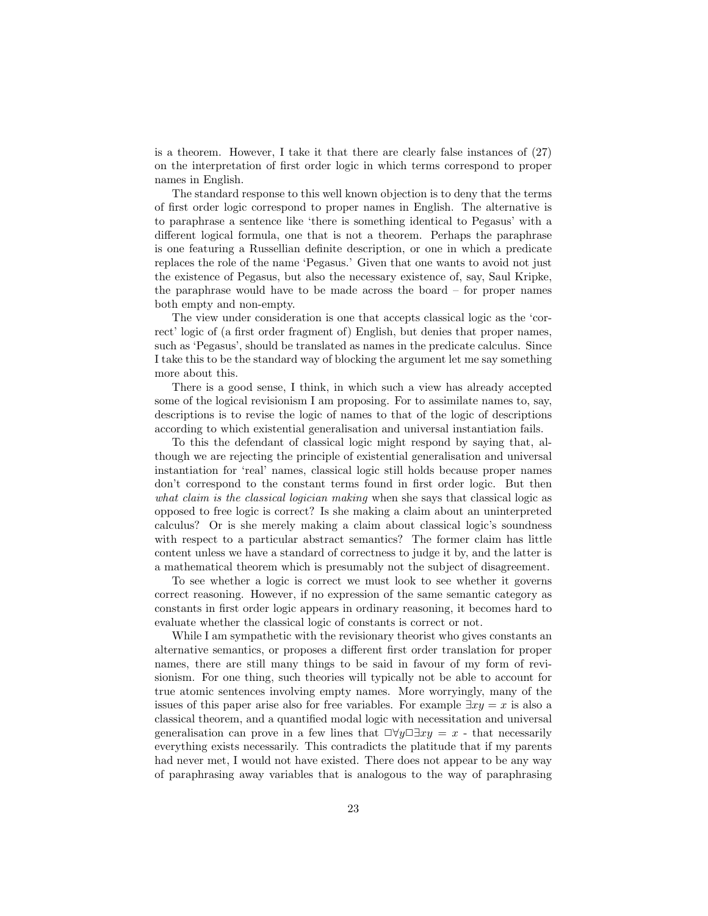is a theorem. However, I take it that there are clearly false instances of (27) on the interpretation of first order logic in which terms correspond to proper names in English.

The standard response to this well known objection is to deny that the terms of first order logic correspond to proper names in English. The alternative is to paraphrase a sentence like 'there is something identical to Pegasus' with a different logical formula, one that is not a theorem. Perhaps the paraphrase is one featuring a Russellian definite description, or one in which a predicate replaces the role of the name 'Pegasus.' Given that one wants to avoid not just the existence of Pegasus, but also the necessary existence of, say, Saul Kripke, the paraphrase would have to be made across the board – for proper names both empty and non-empty.

The view under consideration is one that accepts classical logic as the 'correct' logic of (a first order fragment of) English, but denies that proper names, such as 'Pegasus', should be translated as names in the predicate calculus. Since I take this to be the standard way of blocking the argument let me say something more about this.

There is a good sense, I think, in which such a view has already accepted some of the logical revisionism I am proposing. For to assimilate names to, say, descriptions is to revise the logic of names to that of the logic of descriptions according to which existential generalisation and universal instantiation fails.

To this the defendant of classical logic might respond by saying that, although we are rejecting the principle of existential generalisation and universal instantiation for 'real' names, classical logic still holds because proper names don't correspond to the constant terms found in first order logic. But then what claim is the classical logician making when she says that classical logic as opposed to free logic is correct? Is she making a claim about an uninterpreted calculus? Or is she merely making a claim about classical logic's soundness with respect to a particular abstract semantics? The former claim has little content unless we have a standard of correctness to judge it by, and the latter is a mathematical theorem which is presumably not the subject of disagreement.

To see whether a logic is correct we must look to see whether it governs correct reasoning. However, if no expression of the same semantic category as constants in first order logic appears in ordinary reasoning, it becomes hard to evaluate whether the classical logic of constants is correct or not.

While I am sympathetic with the revisionary theorist who gives constants an alternative semantics, or proposes a different first order translation for proper names, there are still many things to be said in favour of my form of revisionism. For one thing, such theories will typically not be able to account for true atomic sentences involving empty names. More worryingly, many of the issues of this paper arise also for free variables. For example  $\exists xy = x$  is also a classical theorem, and a quantified modal logic with necessitation and universal generalisation can prove in a few lines that  $\Box \forall y \Box \exists xy = x$  - that necessarily everything exists necessarily. This contradicts the platitude that if my parents had never met, I would not have existed. There does not appear to be any way of paraphrasing away variables that is analogous to the way of paraphrasing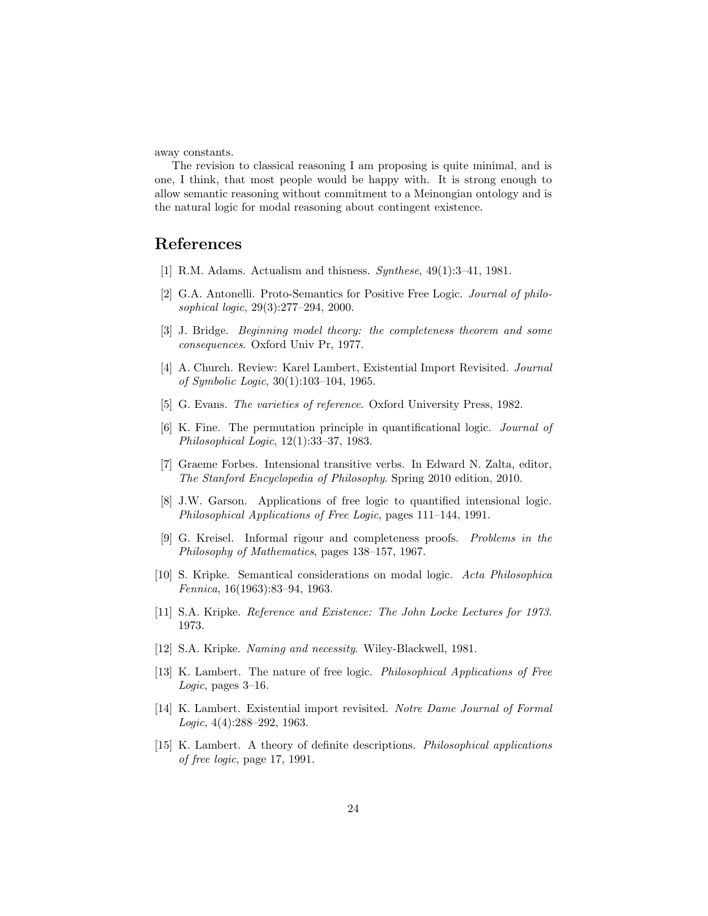away constants.

The revision to classical reasoning I am proposing is quite minimal, and is one, I think, that most people would be happy with. It is strong enough to allow semantic reasoning without commitment to a Meinongian ontology and is the natural logic for modal reasoning about contingent existence.

# References

- [1] R.M. Adams. Actualism and thisness. Synthese, 49(1):3–41, 1981.
- [2] G.A. Antonelli. Proto-Semantics for Positive Free Logic. Journal of philosophical logic, 29(3):277–294, 2000.
- [3] J. Bridge. Beginning model theory: the completeness theorem and some consequences. Oxford Univ Pr, 1977.
- [4] A. Church. Review: Karel Lambert, Existential Import Revisited. Journal of Symbolic Logic, 30(1):103–104, 1965.
- [5] G. Evans. The varieties of reference. Oxford University Press, 1982.
- [6] K. Fine. The permutation principle in quantificational logic. Journal of Philosophical Logic, 12(1):33–37, 1983.
- [7] Graeme Forbes. Intensional transitive verbs. In Edward N. Zalta, editor, The Stanford Encyclopedia of Philosophy. Spring 2010 edition, 2010.
- [8] J.W. Garson. Applications of free logic to quantified intensional logic. Philosophical Applications of Free Logic, pages 111–144, 1991.
- [9] G. Kreisel. Informal rigour and completeness proofs. Problems in the Philosophy of Mathematics, pages 138–157, 1967.
- [10] S. Kripke. Semantical considerations on modal logic. Acta Philosophica Fennica, 16(1963):83–94, 1963.
- [11] S.A. Kripke. Reference and Existence: The John Locke Lectures for 1973. 1973.
- [12] S.A. Kripke. Naming and necessity. Wiley-Blackwell, 1981.
- [13] K. Lambert. The nature of free logic. Philosophical Applications of Free Logic, pages 3–16.
- [14] K. Lambert. Existential import revisited. Notre Dame Journal of Formal Logic, 4(4):288–292, 1963.
- [15] K. Lambert. A theory of definite descriptions. Philosophical applications of free logic, page 17, 1991.